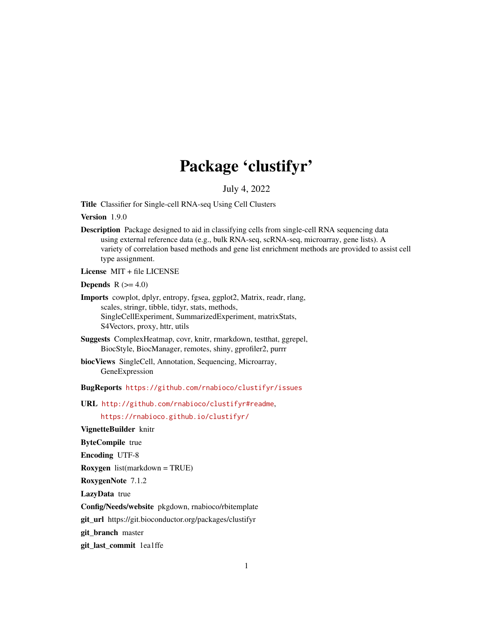# Package 'clustifyr'

July 4, 2022

Title Classifier for Single-cell RNA-seq Using Cell Clusters

Version 1.9.0

Description Package designed to aid in classifying cells from single-cell RNA sequencing data using external reference data (e.g., bulk RNA-seq, scRNA-seq, microarray, gene lists). A variety of correlation based methods and gene list enrichment methods are provided to assist cell type assignment.

License MIT + file LICENSE

Depends  $R$  ( $>= 4.0$ )

- Imports cowplot, dplyr, entropy, fgsea, ggplot2, Matrix, readr, rlang, scales, stringr, tibble, tidyr, stats, methods, SingleCellExperiment, SummarizedExperiment, matrixStats, S4Vectors, proxy, httr, utils
- Suggests ComplexHeatmap, covr, knitr, rmarkdown, testthat, ggrepel, BiocStyle, BiocManager, remotes, shiny, gprofiler2, purrr
- biocViews SingleCell, Annotation, Sequencing, Microarray, GeneExpression

BugReports <https://github.com/rnabioco/clustifyr/issues>

URL <http://github.com/rnabioco/clustifyr#readme>,

<https://rnabioco.github.io/clustifyr/>

VignetteBuilder knitr

ByteCompile true

Encoding UTF-8

Roxygen list(markdown = TRUE)

RoxygenNote 7.1.2

LazyData true

Config/Needs/website pkgdown, rnabioco/rbitemplate

git\_url https://git.bioconductor.org/packages/clustifyr

git branch master

git\_last\_commit 1ea1ffe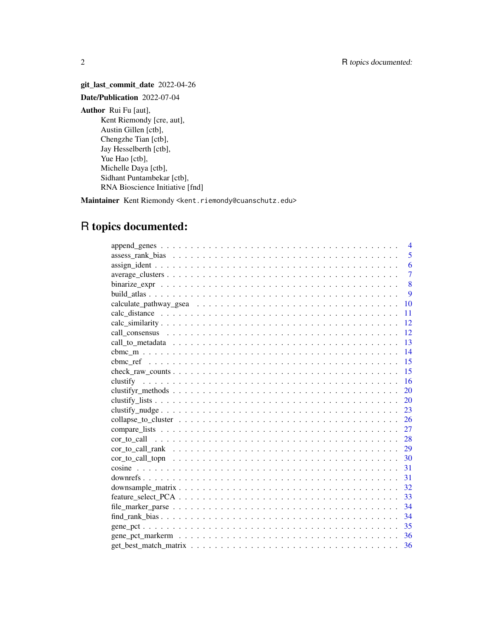git\_last\_commit\_date 2022-04-26 Date/Publication 2022-07-04 Author Rui Fu [aut], Kent Riemondy [cre, aut], Austin Gillen [ctb], Chengzhe Tian [ctb], Jay Hesselberth [ctb], Yue Hao [ctb], Michelle Daya [ctb], Sidhant Puntambekar [ctb], RNA Bioscience Initiative [fnd]

Maintainer Kent Riemondy <kent.riemondy@cuanschutz.edu>

# R topics documented:

| $\overline{4}$                                                                                                                   |
|----------------------------------------------------------------------------------------------------------------------------------|
| 5                                                                                                                                |
| 6                                                                                                                                |
| $\overline{7}$                                                                                                                   |
| 8                                                                                                                                |
| 9                                                                                                                                |
| 10                                                                                                                               |
| 11                                                                                                                               |
| 12                                                                                                                               |
| 12                                                                                                                               |
| 13                                                                                                                               |
| 14                                                                                                                               |
| 15                                                                                                                               |
| 15<br>$check\_raw\_counts \dots \dots \dots \dots \dots \dots \dots \dots \dots \dots \dots \dots \dots \dots \dots \dots \dots$ |
| 16                                                                                                                               |
| 20                                                                                                                               |
| 20                                                                                                                               |
| 23                                                                                                                               |
| 26                                                                                                                               |
| 27                                                                                                                               |
|                                                                                                                                  |
|                                                                                                                                  |
| 30                                                                                                                               |
| 31                                                                                                                               |
| 31                                                                                                                               |
|                                                                                                                                  |
|                                                                                                                                  |
| 34                                                                                                                               |
| 34                                                                                                                               |
| -35                                                                                                                              |
|                                                                                                                                  |
| 36                                                                                                                               |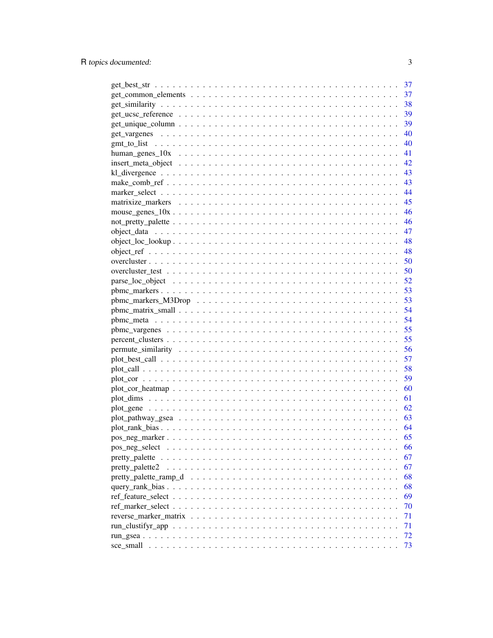| 37  |
|-----|
| 37  |
| 38  |
| 39  |
| 39  |
| -40 |
| 40  |
| 41  |
| 42  |
|     |
|     |
|     |
|     |
|     |
|     |
|     |
|     |
|     |
|     |
|     |
|     |
|     |
|     |
|     |
|     |
|     |
|     |
|     |
| 57  |
| 58  |
| 59  |
|     |
|     |
|     |
|     |
|     |
|     |
| 66  |
| 67  |
| 67  |
| 68  |
| 68  |
| 69  |
| 70  |
| 71  |
| 71  |
| 72  |
| 73  |
|     |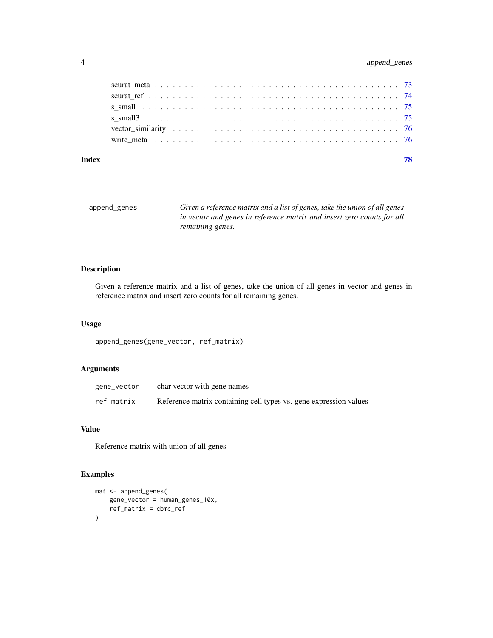## <span id="page-3-0"></span>4 append\_genes

| Index | 78 |
|-------|----|
|       |    |
|       |    |
|       |    |
|       |    |
|       |    |
|       |    |

| append_genes | Given a reference matrix and a list of genes, take the union of all genes |
|--------------|---------------------------------------------------------------------------|
|              | in vector and genes in reference matrix and insert zero counts for all    |
|              | remaining genes.                                                          |

## Description

Given a reference matrix and a list of genes, take the union of all genes in vector and genes in reference matrix and insert zero counts for all remaining genes.

## Usage

```
append_genes(gene_vector, ref_matrix)
```
## Arguments

| gene_vector | char vector with gene names                                       |
|-------------|-------------------------------------------------------------------|
| ref_matrix  | Reference matrix containing cell types vs. gene expression values |

## Value

Reference matrix with union of all genes

```
mat <- append_genes(
   gene_vector = human_genes_10x,
   ref_matrix = cbmc_ref
)
```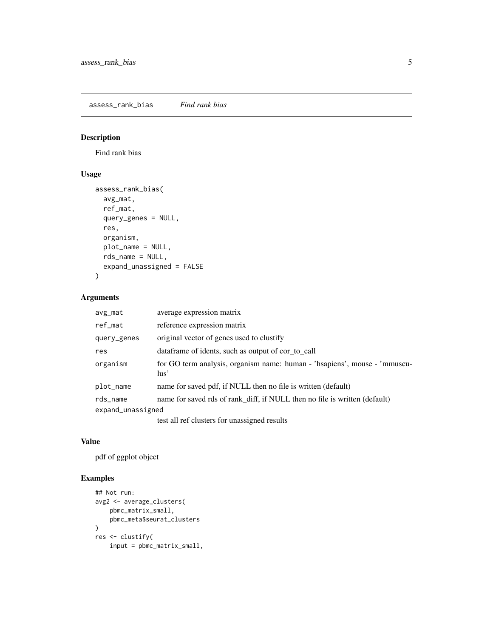<span id="page-4-0"></span>assess\_rank\_bias *Find rank bias*

## Description

Find rank bias

## Usage

```
assess_rank_bias(
  avg_mat,
 ref_mat,
 query_genes = NULL,
  res,
 organism,
 plot_name = NULL,
  rds_name = NULL,
  expand_unassigned = FALSE
)
```
## Arguments

| avg_mat           | average expression matrix                                                            |
|-------------------|--------------------------------------------------------------------------------------|
| ref_mat           | reference expression matrix                                                          |
| query_genes       | original vector of genes used to clustify                                            |
| res               | data frame of idents, such as output of cor_to_call                                  |
| organism          | for GO term analysis, organism name: human - 'hsapiens', mouse - 'mmuscu-<br>$\ln s$ |
| plot_name         | name for saved pdf, if NULL then no file is written (default)                        |
| rds_name          | name for saved rds of rank_diff, if NULL then no file is written (default)           |
| expand_unassigned |                                                                                      |
|                   | test all ref clusters for unassigned results                                         |

## Value

pdf of ggplot object

```
## Not run:
avg2 <- average_clusters(
    pbmc_matrix_small,
    pbmc_meta$seurat_clusters
\mathcal{L}res <- clustify(
    input = pbmc_matrix_small,
```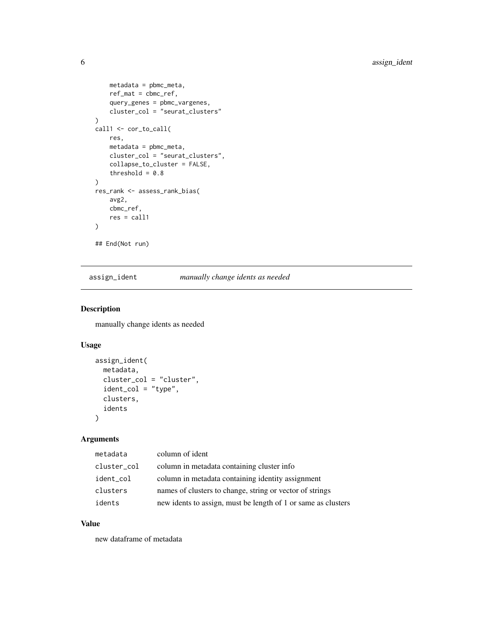```
metadata = pbmc_meta,
    ref_mat = cbmc_ref,
    query_genes = pbmc_vargenes,
    cluster_col = "seurat_clusters"
\mathcal{L}call1 <- cor_to_call(
    res,
    metadata = pbmc_meta,
    cluster_col = "seurat_clusters",
    collapse_to_cluster = FALSE,
    threshold = 0.8)
res_rank <- assess_rank_bias(
    avg2,
    cbmc_ref,
    res = call1
\mathcal{L}## End(Not run)
```
assign\_ident *manually change idents as needed*

## Description

manually change idents as needed

## Usage

```
assign_ident(
 metadata,
 cluster_col = "cluster",
  ident_col = "type",
 clusters,
  idents
)
```
## Arguments

| metadata    | column of ident                                               |
|-------------|---------------------------------------------------------------|
| cluster_col | column in metadata containing cluster info                    |
| ident_col   | column in metadata containing identity assignment             |
| clusters    | names of clusters to change, string or vector of strings      |
| idents      | new idents to assign, must be length of 1 or same as clusters |

## Value

new dataframe of metadata

<span id="page-5-0"></span>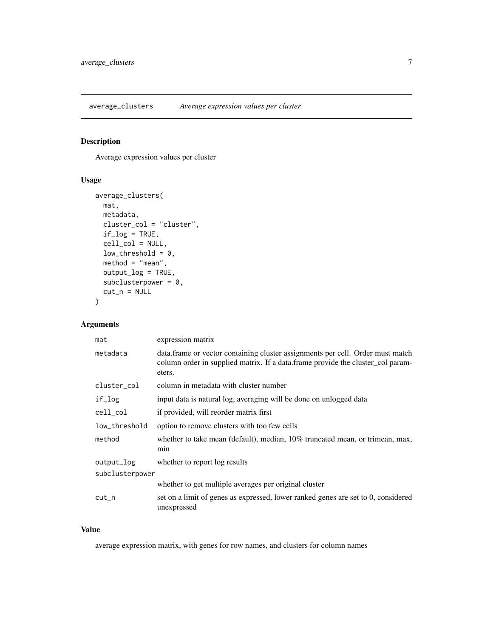<span id="page-6-0"></span>average\_clusters *Average expression values per cluster*

## Description

Average expression values per cluster

## Usage

```
average_clusters(
  mat,
  metadata,
  cluster_col = "cluster",
  if_log = TRUE,
  cell_col = NULL,
  low_{\text{threshold}} = 0,
  method = "mean",output_log = TRUE,
  subclusterpower = 0,
  cut_n = NULL\mathcal{L}
```
## Arguments

| mat             | expression matrix                                                                                                                                                           |
|-----------------|-----------------------------------------------------------------------------------------------------------------------------------------------------------------------------|
| metadata        | data.frame or vector containing cluster assignments per cell. Order must match<br>column order in supplied matrix. If a data frame provide the cluster_col param-<br>eters. |
| cluster_col     | column in metadata with cluster number                                                                                                                                      |
| if_log          | input data is natural log, averaging will be done on unlogged data                                                                                                          |
| cell_col        | if provided, will reorder matrix first                                                                                                                                      |
| low_threshold   | option to remove clusters with too few cells                                                                                                                                |
| method          | whether to take mean (default), median, 10% truncated mean, or trimean, max,<br>min                                                                                         |
| output_log      | whether to report log results                                                                                                                                               |
| subclusterpower |                                                                                                                                                                             |
|                 | whether to get multiple averages per original cluster                                                                                                                       |
| $cut_n$         | set on a limit of genes as expressed, lower ranked genes are set to 0, considered<br>unexpressed                                                                            |

#### Value

average expression matrix, with genes for row names, and clusters for column names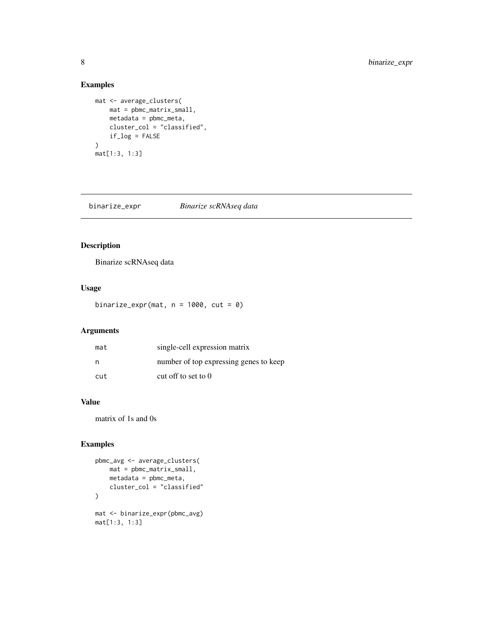## Examples

```
mat <- average_clusters(
   mat = pbmc_matrix_small,
    metadata = pbmc_meta,
    cluster_col = "classified",
    if_log = FALSE
)
mat[1:3, 1:3]
```
binarize\_expr *Binarize scRNAseq data*

## Description

Binarize scRNAseq data

## Usage

binarize\_expr(mat,  $n = 1000$ , cut = 0)

## Arguments

| mat | single-cell expression matrix          |
|-----|----------------------------------------|
| n   | number of top expressing genes to keep |
| cut | cut off to set to $0$                  |

## Value

matrix of 1s and 0s

```
pbmc_avg <- average_clusters(
    mat = pbmc_matrix_small,
    metadata = pbmc_meta,
    cluster_col = "classified"
\mathcal{L}mat <- binarize_expr(pbmc_avg)
mat[1:3, 1:3]
```
<span id="page-7-0"></span>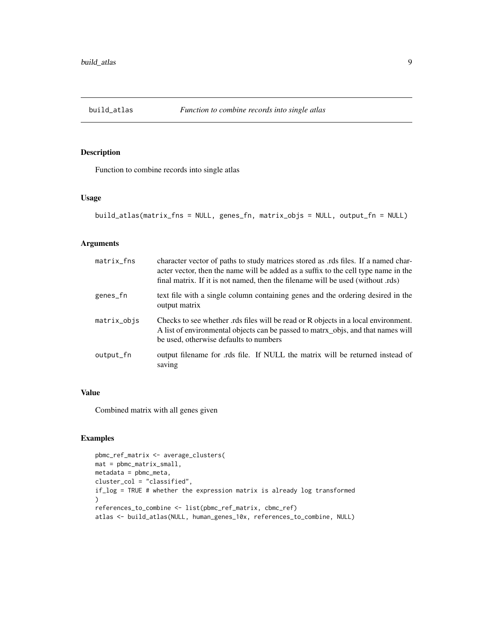<span id="page-8-0"></span>

## Description

Function to combine records into single atlas

#### Usage

```
build_atlas(matrix_fns = NULL, genes_fn, matrix_objs = NULL, output_fn = NULL)
```
## Arguments

| $matrix$ <sub>natrix</sub> | character vector of paths to study matrices stored as .rds files. If a named char-<br>acter vector, then the name will be added as a suffix to the cell type name in the<br>final matrix. If it is not named, then the filename will be used (without .rds) |
|----------------------------|-------------------------------------------------------------------------------------------------------------------------------------------------------------------------------------------------------------------------------------------------------------|
| genes_fn                   | text file with a single column containing genes and the ordering desired in the<br>output matrix                                                                                                                                                            |
| matrix_objs                | Checks to see whether rds files will be read or R objects in a local environment.<br>A list of environmental objects can be passed to matrix_objs, and that names will<br>be used, otherwise defaults to numbers                                            |
| output_fn                  | output filename for rds file. If NULL the matrix will be returned instead of<br>saving                                                                                                                                                                      |

## Value

Combined matrix with all genes given

```
pbmc_ref_matrix <- average_clusters(
mat = pbmc_matrix_small,
metadata = pbmc_meta,
cluster_col = "classified",
if_log = TRUE # whether the expression matrix is already log transformed
)
references_to_combine <- list(pbmc_ref_matrix, cbmc_ref)
atlas <- build_atlas(NULL, human_genes_10x, references_to_combine, NULL)
```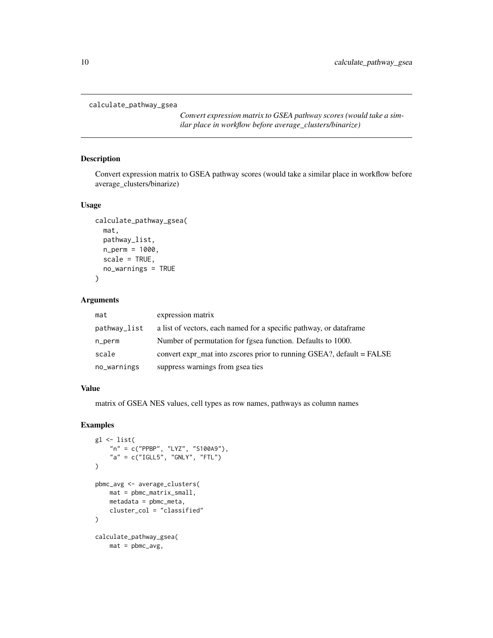```
calculate_pathway_gsea
```
*Convert expression matrix to GSEA pathway scores (would take a similar place in workflow before average\_clusters/binarize)*

## Description

Convert expression matrix to GSEA pathway scores (would take a similar place in workflow before average\_clusters/binarize)

#### Usage

```
calculate_pathway_gsea(
  mat,
  pathway_list,
 n_perm = 1000,
  scale = TRUE,
 no_warnings = TRUE
)
```
#### Arguments

| mat          | expression matrix                                                     |
|--------------|-----------------------------------------------------------------------|
| pathway_list | a list of vectors, each named for a specific pathway, or data frame   |
| n_perm       | Number of permutation for fgsea function. Defaults to 1000.           |
| scale        | convert expr mat into zscores prior to running GSEA?, default = FALSE |
| no_warnings  | suppress warnings from gsea ties                                      |

## Value

matrix of GSEA NES values, cell types as row names, pathways as column names

```
gl <- list(
    "n" = c("PPBP", "LYZ", "S100A9"),
    "a" = c("IGLL5", "GNLY", "FTL")\mathcal{L}pbmc_avg <- average_clusters(
    mat = pbmc_matrix_small,
    metadata = pbmc_meta,
    cluster_col = "classified"
\mathcal{L}calculate_pathway_gsea(
    mat = pbmc_avg,
```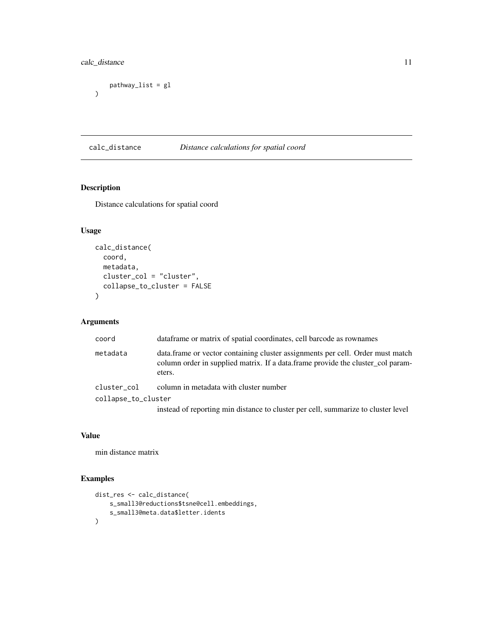## <span id="page-10-0"></span>calc\_distance 11

```
pathway_list = gl
)
```
## calc\_distance *Distance calculations for spatial coord*

## Description

Distance calculations for spatial coord

## Usage

```
calc_distance(
 coord,
 metadata,
 cluster_col = "cluster",
  collapse_to_cluster = FALSE
)
```
## Arguments

| coord               | dataframe or matrix of spatial coordinates, cell barcode as rownames                                                                                                         |
|---------------------|------------------------------------------------------------------------------------------------------------------------------------------------------------------------------|
| metadata            | data. frame or vector containing cluster assignments per cell. Order must match<br>column order in supplied matrix. If a data frame provide the cluster_col param-<br>eters. |
| cluster_col         | column in metadata with cluster number                                                                                                                                       |
| collapse_to_cluster |                                                                                                                                                                              |
|                     | instead of reporting min distance to cluster per cell, summarize to cluster level                                                                                            |

## Value

min distance matrix

```
dist_res <- calc_distance(
    s_small3@reductions$tsne@cell.embeddings,
    s_small3@meta.data$letter.idents
\mathcal{L}
```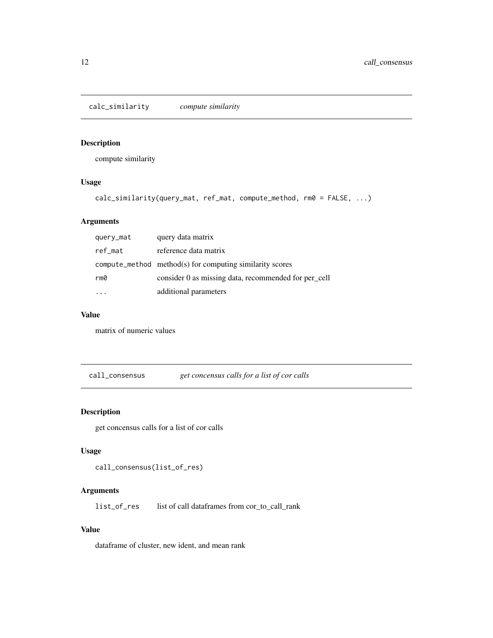<span id="page-11-0"></span>calc\_similarity *compute similarity*

## Description

compute similarity

## Usage

```
calc_similarity(query_mat, ref_mat, compute_method, rm0 = FALSE, ...)
```
## Arguments

| query_mat | query data matrix                                              |
|-----------|----------------------------------------------------------------|
| ref_mat   | reference data matrix                                          |
|           | $compute\_method$ method $(s)$ for computing similarity scores |
| rm0       | consider 0 as missing data, recommended for per_cell           |
|           | additional parameters                                          |

## Value

matrix of numeric values

call\_consensus *get concensus calls for a list of cor calls*

## Description

get concensus calls for a list of cor calls

## Usage

call\_consensus(list\_of\_res)

#### Arguments

list\_of\_res list of call dataframes from cor\_to\_call\_rank

#### Value

dataframe of cluster, new ident, and mean rank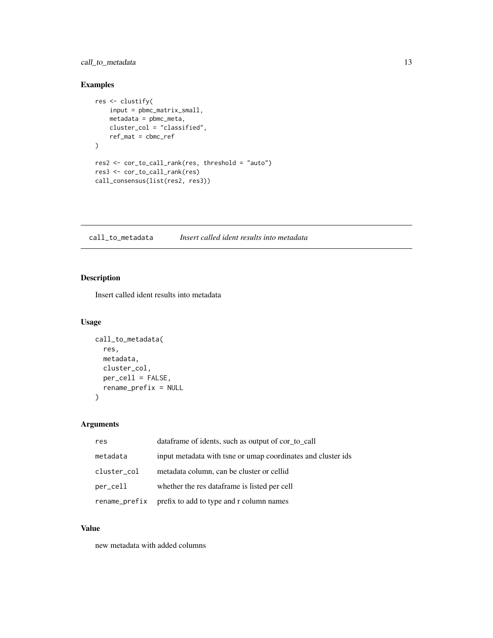## <span id="page-12-0"></span>call\_to\_metadata 13

## Examples

```
res <- clustify(
    input = pbmc_matrix_small,
    metadata = pbmc_meta,
    cluster_col = "classified",
    ref_mat = cbmc_ref
\mathcal{L}res2 <- cor_to_call_rank(res, threshold = "auto")
res3 <- cor_to_call_rank(res)
call_consensus(list(res2, res3))
```
call\_to\_metadata *Insert called ident results into metadata*

## Description

Insert called ident results into metadata

## Usage

```
call_to_metadata(
  res,
 metadata,
 cluster_col,
 per_cell = FALSE,
 rename_prefix = NULL
)
```
## Arguments

| res           | data frame of idents, such as output of cor to call          |
|---------------|--------------------------------------------------------------|
| metadata      | input metadata with tsne or umap coordinates and cluster ids |
| cluster_col   | metadata column, can be cluster or cellid                    |
| per_cell      | whether the res data frame is listed per cell                |
| rename_prefix | prefix to add to type and r column names                     |

## Value

new metadata with added columns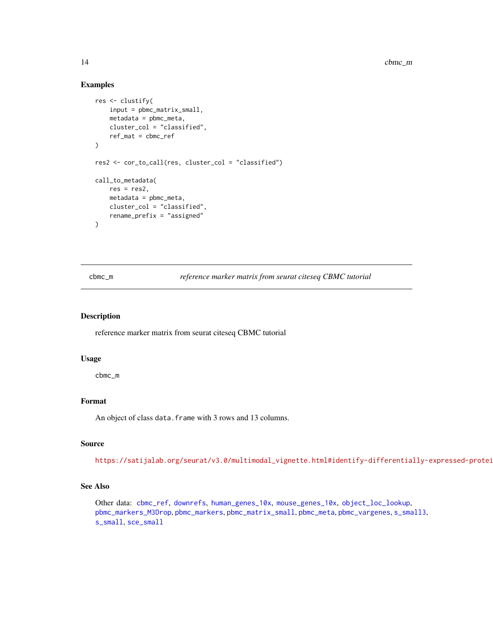#### Examples

```
res <- clustify(
   input = pbmc_matrix_small,
   metadata = pbmc_meta,
   cluster_col = "classified",
   ref_mat = cbmc_ref
)
res2 <- cor_to_call(res, cluster_col = "classified")
call_to_metadata(
   res = res2,metadata = pbmc_meta,
   cluster_col = "classified",
   rename_prefix = "assigned"
)
```
<span id="page-13-1"></span>cbmc\_m *reference marker matrix from seurat citeseq CBMC tutorial*

#### Description

reference marker matrix from seurat citeseq CBMC tutorial

#### Usage

cbmc\_m

#### Format

An object of class data. frame with 3 rows and 13 columns.

#### Source

https://satijalab.org/seurat/v3.0/multimodal\_vignette.html#identify-differentially-expressed-protei

#### See Also

Other data: [cbmc\\_ref](#page-14-1), [downrefs](#page-30-1), [human\\_genes\\_10x](#page-40-1), [mouse\\_genes\\_10x](#page-45-1), [object\\_loc\\_lookup](#page-47-1), [pbmc\\_markers\\_M3Drop](#page-52-1), [pbmc\\_markers](#page-52-2), [pbmc\\_matrix\\_small](#page-53-1), [pbmc\\_meta](#page-53-2), [pbmc\\_vargenes](#page-54-1), [s\\_small3](#page-74-1), [s\\_small](#page-74-2), [sce\\_small](#page-72-1)

<span id="page-13-0"></span>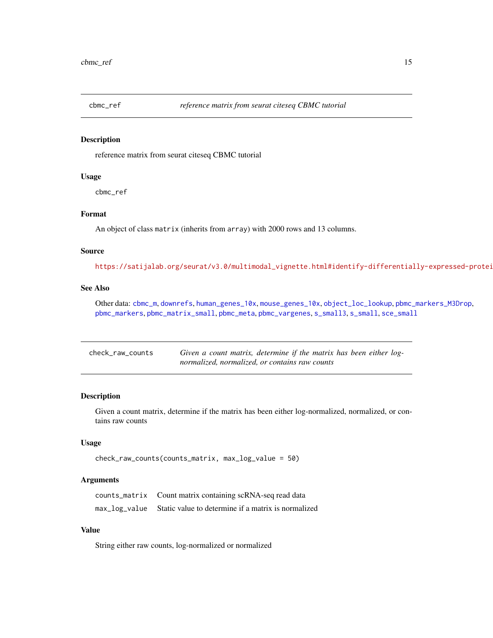<span id="page-14-1"></span><span id="page-14-0"></span>

#### Description

reference matrix from seurat citeseq CBMC tutorial

## Usage

cbmc\_ref

## Format

An object of class matrix (inherits from array) with 2000 rows and 13 columns.

#### Source

https://satijalab.org/seurat/v3.0/multimodal\_vignette.html#identify-differentially-expressed-protei

## See Also

Other data: [cbmc\\_m](#page-13-1), [downrefs](#page-30-1), [human\\_genes\\_10x](#page-40-1), [mouse\\_genes\\_10x](#page-45-1), [object\\_loc\\_lookup](#page-47-1), [pbmc\\_markers\\_M3Drop](#page-52-1), [pbmc\\_markers](#page-52-2), [pbmc\\_matrix\\_small](#page-53-1), [pbmc\\_meta](#page-53-2), [pbmc\\_vargenes](#page-54-1), [s\\_small3](#page-74-1), [s\\_small](#page-74-2), [sce\\_small](#page-72-1)

| check_raw_counts | Given a count matrix, determine if the matrix has been either log- |
|------------------|--------------------------------------------------------------------|
|                  | normalized, normalized, or contains raw counts                     |

## Description

Given a count matrix, determine if the matrix has been either log-normalized, normalized, or contains raw counts

## Usage

```
check_raw_counts(counts_matrix, max_log_value = 50)
```
## Arguments

counts\_matrix Count matrix containing scRNA-seq read data max\_log\_value Static value to determine if a matrix is normalized

## Value

String either raw counts, log-normalized or normalized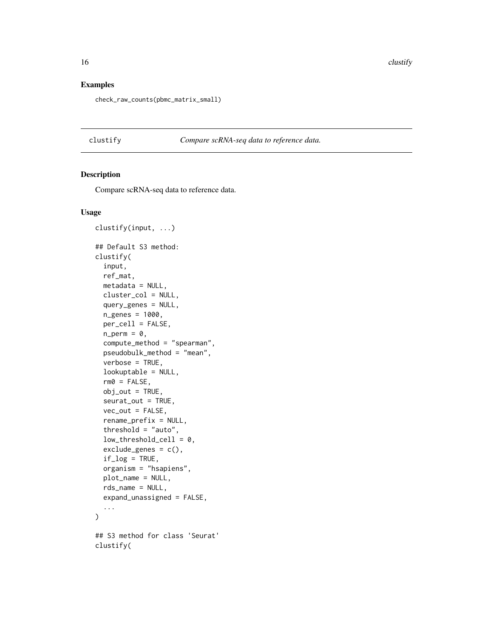## <span id="page-15-0"></span>Examples

check\_raw\_counts(pbmc\_matrix\_small)

clustify *Compare scRNA-seq data to reference data.*

## Description

Compare scRNA-seq data to reference data.

## Usage

```
clustify(input, ...)
## Default S3 method:
clustify(
  input,
  ref_mat,
 metadata = NULL,
  cluster_col = NULL,
  query_genes = NULL,
  n_genes = 1000,
 per_cell = FALSE,
  n\_perm = 0,
  compute_method = "spearman",
  pseudobulk_method = "mean",
  verbose = TRUE,
  lookuptable = NULL,
  rm@ = FALSE,obj_out = TRUE,seurat_out = TRUE,
  vec\_out = FALSE,rename_prefix = NULL,
  threshold = "auto",
  low_{\text{threshold_{cell}}} = 0,
  exclude_genes = c(),
  if_log = TRUE,
  organism = "hsapiens",
  plot_name = NULL,
  rds_name = NULL,
  expand_unassigned = FALSE,
  ...
\lambda## S3 method for class 'Seurat'
clustify(
```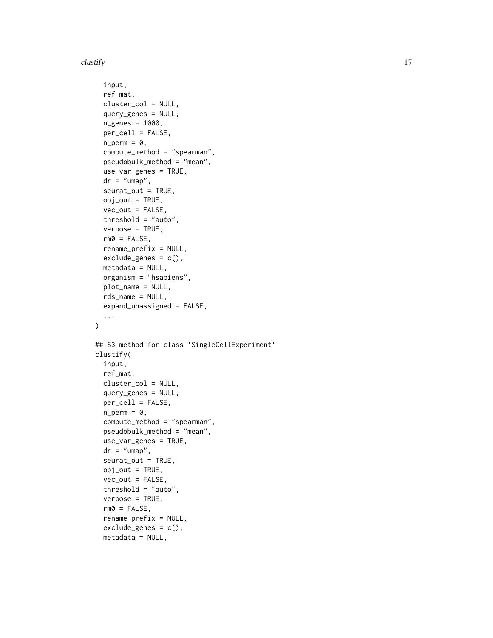#### $\frac{17}{17}$

```
input,
  ref_mat,
  cluster_col = NULL,
  query_genes = NULL,
  n_genes = 1000,
  per_cell = FALSE,
  n\_perm = 0,
  compute_method = "spearman",
  pseudobulk_method = "mean",
  use_var_genes = TRUE,
  dr = "umap",seurat_out = TRUE,
  obj_out = TRUE,vec\_out = FALSE,threshold = "auto",
  verbose = TRUE,
  rm@ = FALSE,rename_prefix = NULL,
  exclude\_genes = c(),
  metadata = NULL,organism = "hsapiens",
  plot_name = NULL,
  rds_name = NULL,
  expand_unassigned = FALSE,
  ...
\lambda## S3 method for class 'SingleCellExperiment'
clustify(
  input,
  ref_mat,
  cluster_col = NULL,
  query_genes = NULL,
 per_cell = FALSE,
  n\_perm = 0,
  compute_method = "spearman",
  pseudobulk_method = "mean",
  use_var_genes = TRUE,
  dr = "umap",seurat_out = TRUE,
  obj_out = TRUE,vec\_out = FALSE,threshold = "auto",
  verbose = TRUE,
  rm0 = FALSE,rename_prefix = NULL,
  exclude\_genes = c(),
  metadata = NULL,
```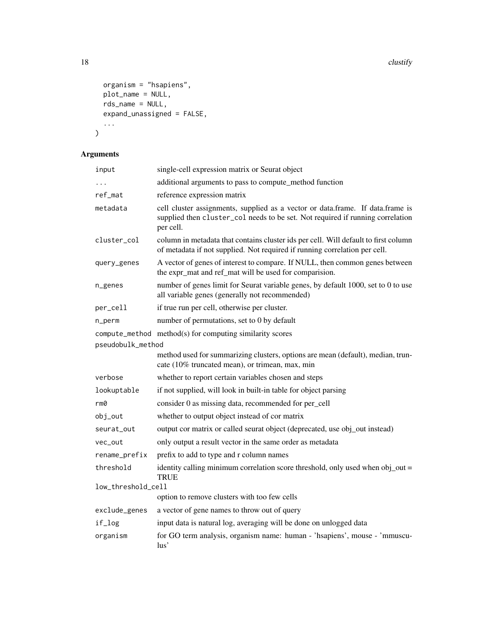```
organism = "hsapiens",
 plot_name = NULL,
 r =expand_unassigned = FALSE,
  ...
\mathcal{L}
```
## Arguments

| input                                                                         | single-cell expression matrix or Seurat object                                                                                                                                |
|-------------------------------------------------------------------------------|-------------------------------------------------------------------------------------------------------------------------------------------------------------------------------|
| .                                                                             | additional arguments to pass to compute_method function                                                                                                                       |
| ref_mat                                                                       | reference expression matrix                                                                                                                                                   |
| metadata                                                                      | cell cluster assignments, supplied as a vector or data.frame. If data.frame is<br>supplied then cluster_col needs to be set. Not required if running correlation<br>per cell. |
| cluster_col                                                                   | column in metadata that contains cluster ids per cell. Will default to first column<br>of metadata if not supplied. Not required if running correlation per cell.             |
| query_genes                                                                   | A vector of genes of interest to compare. If NULL, then common genes between<br>the expr_mat and ref_mat will be used for comparision.                                        |
| n_genes                                                                       | number of genes limit for Seurat variable genes, by default 1000, set to 0 to use<br>all variable genes (generally not recommended)                                           |
| per_cell                                                                      | if true run per cell, otherwise per cluster.                                                                                                                                  |
| n_perm                                                                        | number of permutations, set to 0 by default                                                                                                                                   |
| compute_method method(s) for computing similarity scores<br>pseudobulk_method |                                                                                                                                                                               |
|                                                                               | method used for summarizing clusters, options are mean (default), median, trun-<br>cate (10% truncated mean), or trimean, max, min                                            |
| verbose                                                                       | whether to report certain variables chosen and steps                                                                                                                          |
| lookuptable                                                                   | if not supplied, will look in built-in table for object parsing                                                                                                               |
| rm0                                                                           | consider 0 as missing data, recommended for per_cell                                                                                                                          |
| obj_out                                                                       | whether to output object instead of cor matrix                                                                                                                                |
| seurat_out                                                                    | output cor matrix or called seurat object (deprecated, use obj_out instead)                                                                                                   |
| vec_out                                                                       | only output a result vector in the same order as metadata                                                                                                                     |
| rename_prefix                                                                 | prefix to add to type and r column names                                                                                                                                      |
| threshold                                                                     | identity calling minimum correlation score threshold, only used when obj_out =<br><b>TRUE</b>                                                                                 |
| low_threshold_cell                                                            |                                                                                                                                                                               |
|                                                                               | option to remove clusters with too few cells                                                                                                                                  |
| exclude_genes                                                                 | a vector of gene names to throw out of query                                                                                                                                  |
| if_log                                                                        | input data is natural log, averaging will be done on unlogged data                                                                                                            |
| organism                                                                      | for GO term analysis, organism name: human - 'hsapiens', mouse - 'mmuscu-<br>lus'                                                                                             |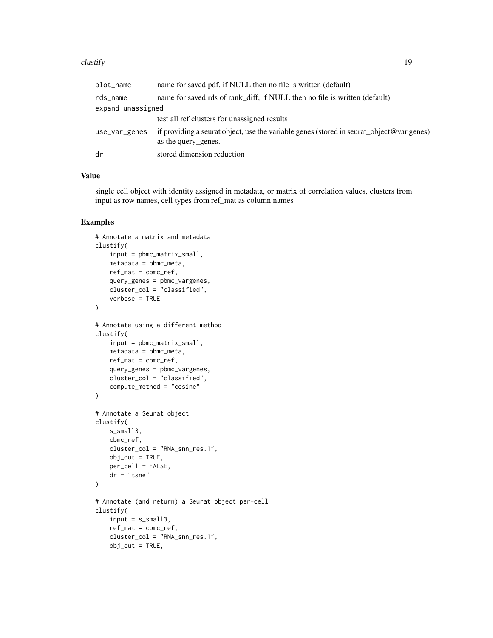#### $\frac{19}{2}$  clustify

| plot_name         | name for saved pdf, if NULL then no file is written (default)                                                   |
|-------------------|-----------------------------------------------------------------------------------------------------------------|
| rds_name          | name for saved rds of rank diff, if NULL then no file is written (default)                                      |
| expand_unassigned |                                                                                                                 |
|                   | test all ref clusters for unassigned results                                                                    |
| use_var_genes     | if providing a seurat object, use the variable genes (stored in seurat_object@var.genes)<br>as the query genes. |
| dr                | stored dimension reduction                                                                                      |
|                   |                                                                                                                 |

## Value

single cell object with identity assigned in metadata, or matrix of correlation values, clusters from input as row names, cell types from ref\_mat as column names

```
# Annotate a matrix and metadata
clustify(
    input = pbmc_matrix_small,
    metadata = pbmc_meta,
    ref_mat = cbmc_ref,
    query_genes = pbmc_vargenes,
    cluster_col = "classified",
    verbose = TRUE
)
# Annotate using a different method
clustify(
    input = pbmc_matrix_small,
    metadata = pbmc_meta,
   ref_mat = cbmc_ref,
    query_genes = pbmc_vargenes,
    cluster_col = "classified",
    compute_method = "cosine"
\mathcal{L}# Annotate a Seurat object
clustify(
   s_small3,
    cbmc_ref,
    cluster_col = "RNA_snn_res.1",
    obj_out = TRUE,per_cell = FALSE,
    dr = "tsne"
\mathcal{L}# Annotate (and return) a Seurat object per-cell
clustify(
    input = s_small3,
    ref_mat = cbmc_ref,
    cluster_col = "RNA_snn_res.1",
    obj\_out = TRUE,
```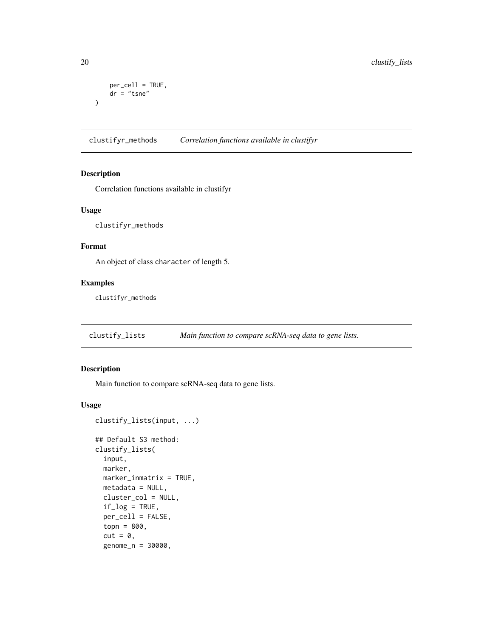```
per_cell = TRUE,
   dr = "tsne")
```
clustifyr\_methods *Correlation functions available in clustifyr*

## Description

Correlation functions available in clustifyr

#### Usage

clustifyr\_methods

#### Format

An object of class character of length 5.

## Examples

clustifyr\_methods

clustify\_lists *Main function to compare scRNA-seq data to gene lists.*

## Description

Main function to compare scRNA-seq data to gene lists.

#### Usage

```
clustify_lists(input, ...)
```

```
## Default S3 method:
clustify_lists(
  input,
 marker,
 marker_inmatrix = TRUE,
 metadata = NULL,
  cluster_col = NULL,
  if\_log = TRUE,per_cell = FALSE,
  topn = 800,
  cut = 0,
  genome_n = 30000,
```
<span id="page-19-0"></span>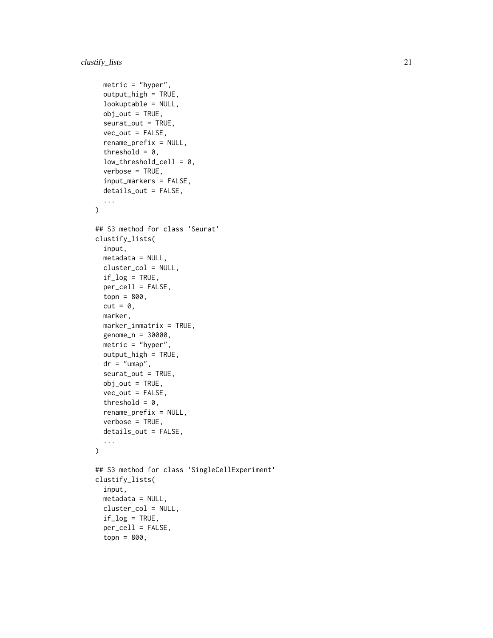```
metric = "hyper",
  output_high = TRUE,
  lookuptable = NULL,
  obj_out = TRUE,seurat_out = TRUE,
  vec\_out = FALSE,rename_prefix = NULL,
  threshold = 0,
  low_{\text{threshold_{cell}}} = 0,
  verbose = TRUE,
  input_markers = FALSE,
  details_out = FALSE,
  ...
\mathcal{L}## S3 method for class 'Seurat'
clustify_lists(
  input,
 metadata = NULL,
  cluster_col = NULL,
  if\_log = TRUE,per_cell = FALSE,
  topn = 800,
  cut = 0,
  marker,
  marker_inmatrix = TRUE,
  genome_n = 30000,
 metric = "hyper",
  output_high = TRUE,
  dr = "umap",seurat_out = TRUE,
  obj_out = TRUE,vec\_out = FALSE,threshold = 0,
  rename_prefix = NULL,
  verbose = TRUE,
  details_out = FALSE,
  ...
\mathcal{L}## S3 method for class 'SingleCellExperiment'
clustify_lists(
  input,
 metadata = NULL,
  cluster_col = NULL,
  if\_log = TRUE,per_cell = FALSE,
  topn = 800,
```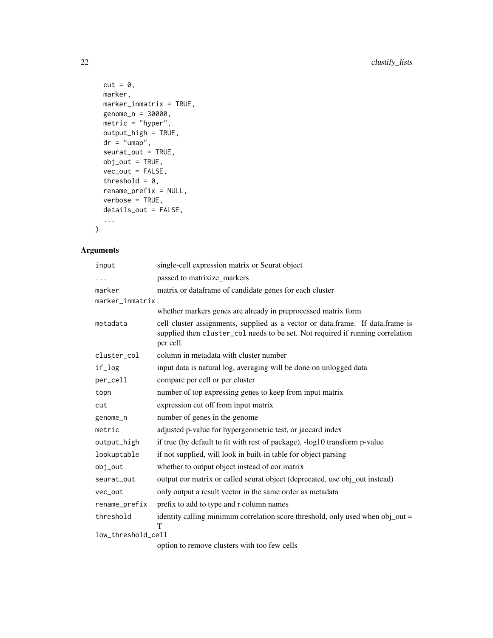```
cut = 0,
 marker,
 marker_inmatrix = TRUE,
 genome_n = 30000,
 metric = "hyper",output_high = TRUE,
 dr = "umap",seurat_out = TRUE,
 obj_out = TRUE,vec\_out = FALSE,threshold = 0,rename_prefix = NULL,
 verbose = TRUE,
 details_out = FALSE,
  ...
)
```
## Arguments

| input              | single-cell expression matrix or Seurat object                                                                                                                                |  |
|--------------------|-------------------------------------------------------------------------------------------------------------------------------------------------------------------------------|--|
| .                  | passed to matrixize_markers                                                                                                                                                   |  |
| marker             | matrix or dataframe of candidate genes for each cluster                                                                                                                       |  |
| marker_inmatrix    |                                                                                                                                                                               |  |
|                    | whether markers genes are already in preprocessed matrix form                                                                                                                 |  |
| metadata           | cell cluster assignments, supplied as a vector or data.frame. If data.frame is<br>supplied then cluster_col needs to be set. Not required if running correlation<br>per cell. |  |
| cluster_col        | column in metadata with cluster number                                                                                                                                        |  |
| if_log             | input data is natural log, averaging will be done on unlogged data                                                                                                            |  |
| per_cell           | compare per cell or per cluster                                                                                                                                               |  |
| topn               | number of top expressing genes to keep from input matrix                                                                                                                      |  |
| cut                | expression cut off from input matrix                                                                                                                                          |  |
| genome_n           | number of genes in the genome                                                                                                                                                 |  |
| metric             | adjusted p-value for hypergeometric test, or jaccard index                                                                                                                    |  |
| output_high        | if true (by default to fit with rest of package), -log10 transform p-value                                                                                                    |  |
| lookuptable        | if not supplied, will look in built-in table for object parsing                                                                                                               |  |
| obj_out            | whether to output object instead of cor matrix                                                                                                                                |  |
| seurat_out         | output cor matrix or called seurat object (deprecated, use obj_out instead)                                                                                                   |  |
| vec_out            | only output a result vector in the same order as metadata                                                                                                                     |  |
| rename_prefix      | prefix to add to type and r column names                                                                                                                                      |  |
| threshold          | identity calling minimum correlation score threshold, only used when obj_out =<br>T                                                                                           |  |
| low_threshold_cell |                                                                                                                                                                               |  |
|                    | option to remove clusters with too few cells                                                                                                                                  |  |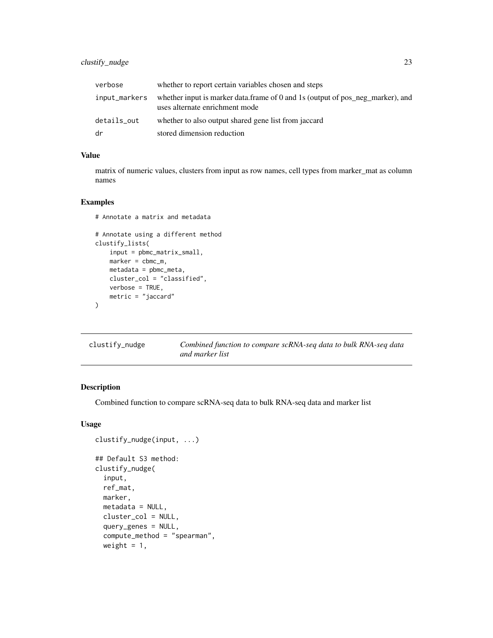<span id="page-22-0"></span>

| verbose       | whether to report certain variables chosen and steps                                                             |
|---------------|------------------------------------------------------------------------------------------------------------------|
| input_markers | whether input is marker data.frame of 0 and 1s (output of pos_neg_marker), and<br>uses alternate enrichment mode |
| details_out   | whether to also output shared gene list from jaccard                                                             |
| dr            | stored dimension reduction                                                                                       |

## Value

matrix of numeric values, clusters from input as row names, cell types from marker\_mat as column names

#### Examples

```
# Annotate a matrix and metadata
# Annotate using a different method
clustify_lists(
   input = pbmc_matrix_small,
   marker = cbmc_m,metadata = pbmc_meta,
   cluster_col = "classified",
   verbose = TRUE,
   metric = "jaccard"
)
```

| clustify_nudge | Combined function to compare scRNA-seq data to bulk RNA-seq data |
|----------------|------------------------------------------------------------------|
|                | and marker list                                                  |

## Description

Combined function to compare scRNA-seq data to bulk RNA-seq data and marker list

## Usage

```
## Default S3 method:
clustify_nudge(
  input,
  ref_mat,
 marker,
 metadata = NULL,
  cluster_col = NULL,
  query_genes = NULL,
  compute_method = "spearman",
  weight = 1,
```
clustify\_nudge(input, ...)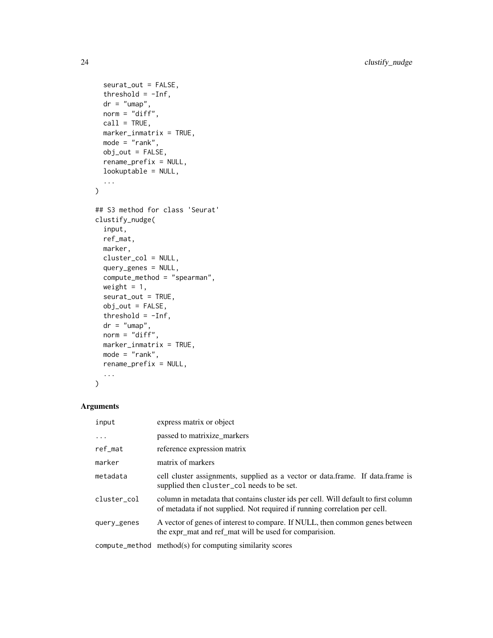```
seurat_out = FALSE,
  threshold = -Inf,
 dr = "umap",norm = "diff",call = TRUE,marker_inmatrix = TRUE,
 mode = "rank",
 obj_out = FALSE,
  rename_prefix = NULL,
 lookuptable = NULL,
  ...
\mathcal{L}## S3 method for class 'Seurat'
clustify_nudge(
  input,
 ref_mat,
 marker,
 cluster_col = NULL,
  query_genes = NULL,
  compute_method = "spearman",
 weight = 1,
  seurat_out = TRUE,
  obj_out = FALSE,
  threshold = -Inf,
 dr = "umap",norm = "diff",marker_inmatrix = TRUE,
 mode = "rank",rename_prefix = NULL,
  ...
)
```
## Arguments

| input       | express matrix or object                                                                                                                                          |
|-------------|-------------------------------------------------------------------------------------------------------------------------------------------------------------------|
| $\ddots$ .  | passed to matrixize_markers                                                                                                                                       |
| ref_mat     | reference expression matrix                                                                                                                                       |
| marker      | matrix of markers                                                                                                                                                 |
| metadata    | cell cluster assignments, supplied as a vector or data.frame. If data.frame is<br>supplied then cluster_col needs to be set.                                      |
| cluster_col | column in metadata that contains cluster ids per cell. Will default to first column<br>of metadata if not supplied. Not required if running correlation per cell. |
| query_genes | A vector of genes of interest to compare. If NULL, then common genes between<br>the expr_mat and ref_mat will be used for comparision.                            |
|             | compute_method method(s) for computing similarity scores                                                                                                          |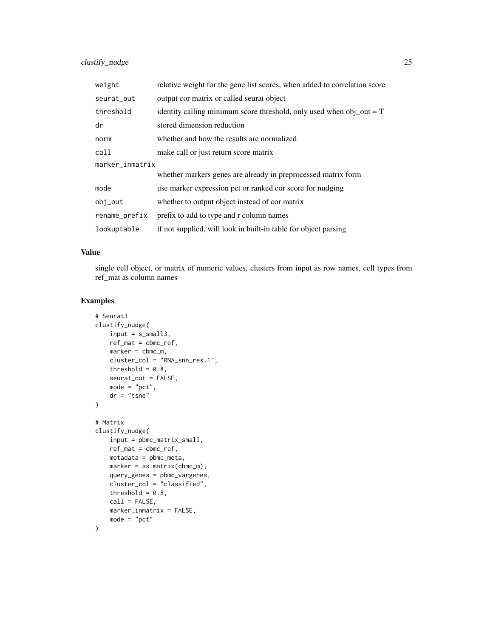| weight          | relative weight for the gene list scores, when added to correlation score |  |
|-----------------|---------------------------------------------------------------------------|--|
| seurat_out      | output cor matrix or called seurat object                                 |  |
| threshold       | identity calling minimum score threshold, only used when obj_out = $T$    |  |
| dr              | stored dimension reduction                                                |  |
| norm            | whether and how the results are normalized                                |  |
| call            | make call or just return score matrix                                     |  |
| marker_inmatrix |                                                                           |  |
|                 | whether markers genes are already in preprocessed matrix form             |  |
| mode            | use marker expression pct or ranked cor score for nudging                 |  |
| obj_out         | whether to output object instead of cor matrix                            |  |
| rename_prefix   | prefix to add to type and r column names                                  |  |
| lookuptable     | if not supplied, will look in built-in table for object parsing           |  |

#### Value

single cell object, or matrix of numeric values, clusters from input as row names, cell types from ref\_mat as column names

```
# Seurat3
clustify_nudge(
   input = s\_smalls,
   ref_mat = cbmc_ref,
   marker = cbmc_m,
   cluster_col = "RNA_snn_res.1",
   threshold = 0.8,
   seurat_out = FALSE,
   mode = "pct",
   dr = "tsne"
\lambda# Matrix
clustify_nudge(
   input = pbmc_matrix_small,
   ref_mat = cbmc_ref,
   metadata = pbmc_meta,
   marker = as.matrix(cbmc_m),
   query_genes = pbmc_vargenes,
   cluster_col = "classified",
   threshold = 0.8,
   call = FALSE,
   marker_inmatrix = FALSE,
   mode = "pct"
)
```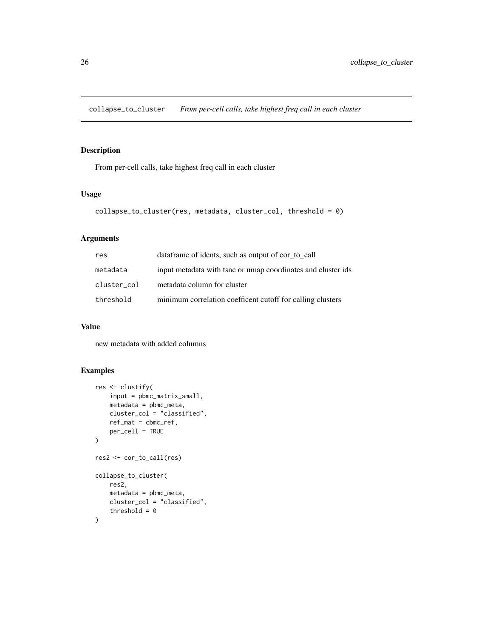<span id="page-25-0"></span>collapse\_to\_cluster *From per-cell calls, take highest freq call in each cluster*

## Description

From per-cell calls, take highest freq call in each cluster

## Usage

```
collapse_to_cluster(res, metadata, cluster_col, threshold = 0)
```
## Arguments

| res         | data frame of idents, such as output of cor_to_call          |
|-------------|--------------------------------------------------------------|
| metadata    | input metadata with tsne or umap coordinates and cluster ids |
| cluster col | metadata column for cluster                                  |
| threshold   | minimum correlation coefficent cutoff for calling clusters   |

## Value

new metadata with added columns

```
res <- clustify(
   input = pbmc_matrix_small,
   metadata = pbmc_meta,
   cluster_col = "classified",
   ref_mat = cbmc_ref,
   per_cell = TRUE
\lambdares2 <- cor_to_call(res)
collapse_to_cluster(
   res2,
   metadata = pbmc_meta,
   cluster_col = "classified",
    threshold = 0)
```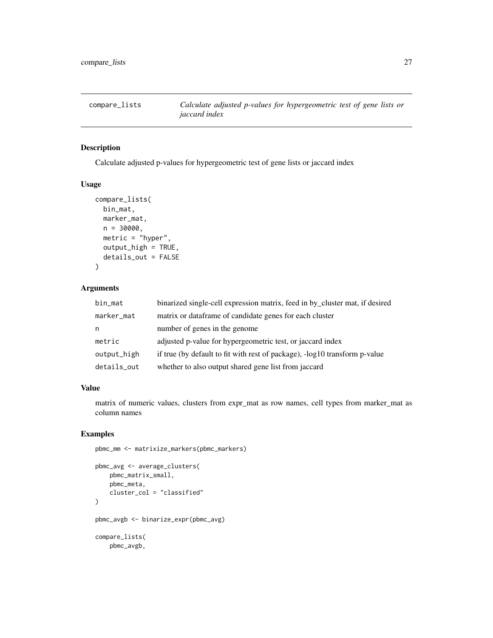<span id="page-26-0"></span>

## Description

Calculate adjusted p-values for hypergeometric test of gene lists or jaccard index

#### Usage

```
compare_lists(
 bin_mat,
 marker_mat,
 n = 30000,metric = "hyper",
 output_high = TRUE,
  details_out = FALSE
)
```
## Arguments

| bin_mat     | binarized single-cell expression matrix, feed in by_cluster mat, if desired |
|-------------|-----------------------------------------------------------------------------|
| marker_mat  | matrix or data frame of candidate genes for each cluster                    |
| n           | number of genes in the genome                                               |
| metric      | adjusted p-value for hypergeometric test, or jaccard index                  |
| output_high | if true (by default to fit with rest of package), -log10 transform p-value  |
| details_out | whether to also output shared gene list from jaccard                        |

## Value

matrix of numeric values, clusters from expr\_mat as row names, cell types from marker\_mat as column names

```
pbmc_mm <- matrixize_markers(pbmc_markers)
```

```
pbmc_avg <- average_clusters(
   pbmc_matrix_small,
   pbmc_meta,
   cluster_col = "classified"
)
pbmc_avgb <- binarize_expr(pbmc_avg)
compare_lists(
   pbmc_avgb,
```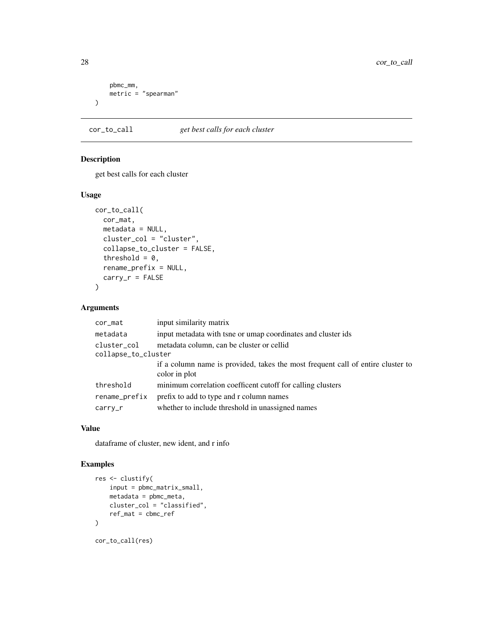```
pbmc_mm,
     metric = "spearman"
\mathcal{L}
```
cor\_to\_call *get best calls for each cluster*

## Description

get best calls for each cluster

## Usage

```
cor_to_call(
  cor_mat,
  metadata = NULL,
  cluster_col = "cluster",
  collapse_to_cluster = FALSE,
  threshold = 0,
  rename_prefix = NULL,
  carry_r = FALSE\mathcal{L}
```
## Arguments

| cor_mat             | input similarity matrix                                                         |
|---------------------|---------------------------------------------------------------------------------|
| metadata            | input metadata with tsne or umap coordinates and cluster ids                    |
| cluster_col         | metadata column, can be cluster or cellid                                       |
| collapse_to_cluster |                                                                                 |
|                     | if a column name is provided, takes the most frequent call of entire cluster to |
|                     | color in plot                                                                   |
| threshold           | minimum correlation coefficent cutoff for calling clusters                      |
| rename_prefix       | prefix to add to type and r column names                                        |
| $carry_r$           | whether to include threshold in unassigned names                                |

## Value

dataframe of cluster, new ident, and r info

```
res <- clustify(
    input = pbmc_matrix_small,
    metadata = pbmc_meta,
    cluster_col = "classified",
    ref_mat = cbmc_ref
)
cor_to_call(res)
```
<span id="page-27-0"></span>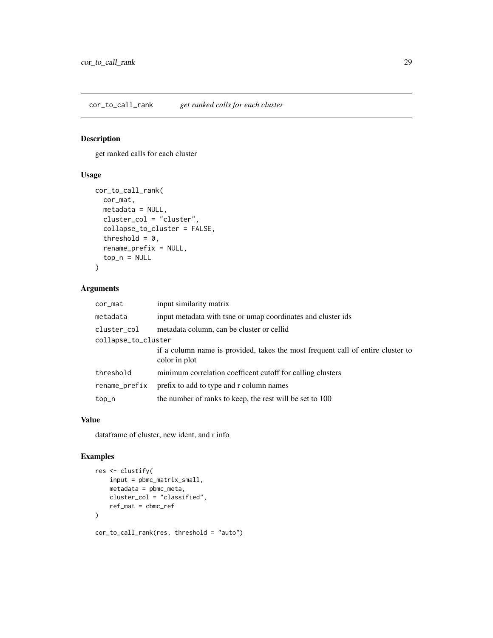<span id="page-28-0"></span>cor\_to\_call\_rank *get ranked calls for each cluster*

## Description

get ranked calls for each cluster

## Usage

```
cor_to_call_rank(
  cor_mat,
 metadata = NULL,
 cluster_col = "cluster",
  collapse_to_cluster = FALSE,
  threshold = 0,
  rename_prefix = NULL,
  top_n = NULL)
```
## Arguments

| cor_mat             | input similarity matrix                                                                          |
|---------------------|--------------------------------------------------------------------------------------------------|
| metadata            | input metadata with tsne or umap coordinates and cluster ids                                     |
| cluster_col         | metadata column, can be cluster or cellid                                                        |
| collapse_to_cluster |                                                                                                  |
|                     | if a column name is provided, takes the most frequent call of entire cluster to<br>color in plot |
| threshold           | minimum correlation coefficent cutoff for calling clusters                                       |
| rename_prefix       | prefix to add to type and r column names                                                         |
| top_n               | the number of ranks to keep, the rest will be set to 100                                         |

## Value

dataframe of cluster, new ident, and r info

```
res <- clustify(
    input = pbmc_matrix_small,
    metadata = pbmc_meta,
    cluster_col = "classified",
    ref_mat = cbmc_ref
\mathcal{L}cor_to_call_rank(res, threshold = "auto")
```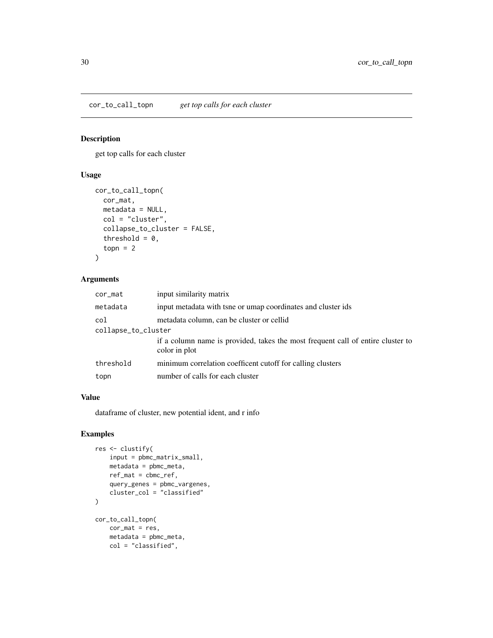## <span id="page-29-0"></span>Description

get top calls for each cluster

## Usage

```
cor_to_call_topn(
  cor_mat,
 metadata = NULL,
 col = "cluster",
  collapse_to_cluster = FALSE,
  threshold = 0,
  topn = 2\mathcal{L}
```
## Arguments

| cor_mat             | input similarity matrix                                                                          |  |
|---------------------|--------------------------------------------------------------------------------------------------|--|
| metadata            | input metadata with tsne or umap coordinates and cluster ids                                     |  |
| col                 | metadata column, can be cluster or cellid                                                        |  |
| collapse_to_cluster |                                                                                                  |  |
|                     | if a column name is provided, takes the most frequent call of entire cluster to<br>color in plot |  |
| threshold           | minimum correlation coefficent cutoff for calling clusters                                       |  |
| topn                | number of calls for each cluster                                                                 |  |

## Value

dataframe of cluster, new potential ident, and r info

```
res <- clustify(
   input = pbmc_matrix_small,
    metadata = pbmc_meta,
    ref_mat = cbmc_ref,
    query_genes = pbmc_vargenes,
    cluster_col = "classified"
\mathcal{L}cor_to_call_topn(
   cor_mat = res,
    metadata = pbmc_meta,
    col = "classified",
```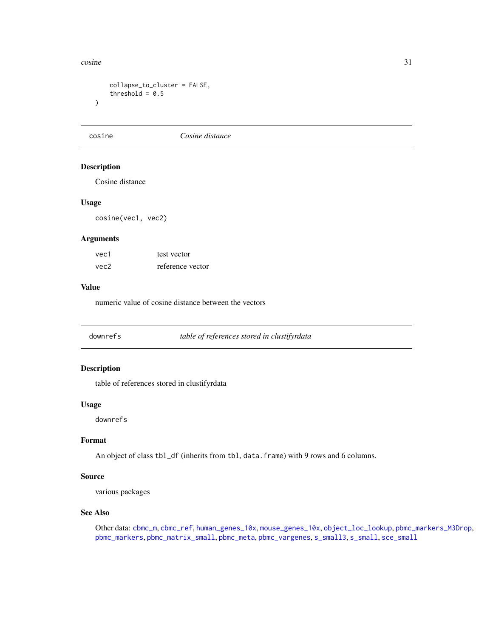#### <span id="page-30-0"></span>cosine 31

```
collapse_to_cluster = FALSE,
    threshold = 0.5)
```
cosine *Cosine distance*

## Description

Cosine distance

## Usage

cosine(vec1, vec2)

## Arguments

| vec1 | test vector      |
|------|------------------|
| vec2 | reference vector |

#### Value

numeric value of cosine distance between the vectors

<span id="page-30-1"></span>downrefs *table of references stored in clustifyrdata*

## Description

table of references stored in clustifyrdata

#### Usage

downrefs

#### Format

An object of class tbl\_df (inherits from tbl, data.frame) with 9 rows and 6 columns.

#### Source

various packages

#### See Also

Other data: [cbmc\\_m](#page-13-1), [cbmc\\_ref](#page-14-1), [human\\_genes\\_10x](#page-40-1), [mouse\\_genes\\_10x](#page-45-1), [object\\_loc\\_lookup](#page-47-1), [pbmc\\_markers\\_M3Drop](#page-52-1), [pbmc\\_markers](#page-52-2), [pbmc\\_matrix\\_small](#page-53-1), [pbmc\\_meta](#page-53-2), [pbmc\\_vargenes](#page-54-1), [s\\_small3](#page-74-1), [s\\_small](#page-74-2), [sce\\_small](#page-72-1)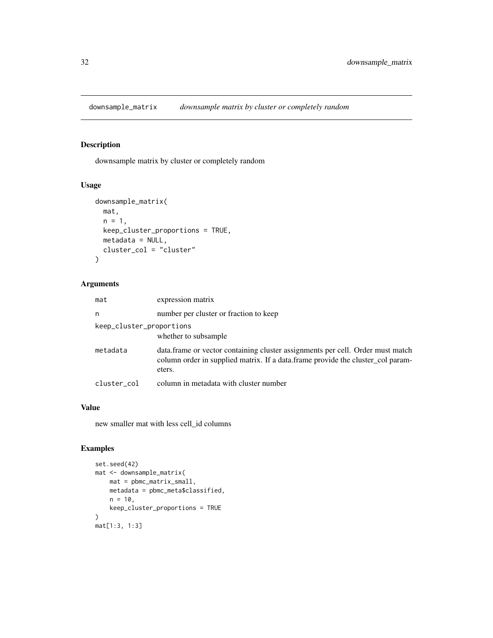<span id="page-31-0"></span>downsample\_matrix *downsample matrix by cluster or completely random*

## Description

downsample matrix by cluster or completely random

## Usage

```
downsample_matrix(
  mat,
  n = 1,
  keep_cluster_proportions = TRUE,
  metadata = NULL,
  cluster_col = "cluster"
\mathcal{L}
```
## Arguments

| mat                      | expression matrix                                                                                                                                                           |
|--------------------------|-----------------------------------------------------------------------------------------------------------------------------------------------------------------------------|
| n                        | number per cluster or fraction to keep                                                                                                                                      |
| keep_cluster_proportions | whether to subsample                                                                                                                                                        |
| metadata                 | data frame or vector containing cluster assignments per cell. Order must match<br>column order in supplied matrix. If a data frame provide the cluster_col param-<br>eters. |
| cluster col              | column in metadata with cluster number                                                                                                                                      |

## Value

new smaller mat with less cell\_id columns

```
set.seed(42)
mat <- downsample_matrix(
    mat = pbmc_matrix_small,
    metadata = pbmc_meta$classified,
    n = 10,
    keep_cluster_proportions = TRUE
\mathcal{L}mat[1:3, 1:3]
```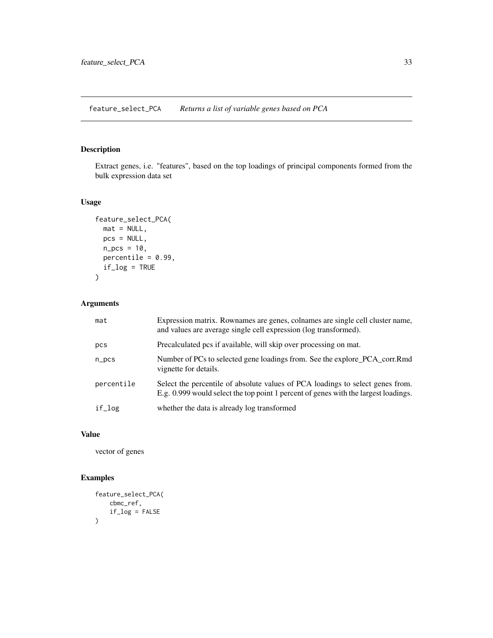<span id="page-32-0"></span>feature\_select\_PCA *Returns a list of variable genes based on PCA*

## Description

Extract genes, i.e. "features", based on the top loadings of principal components formed from the bulk expression data set

## Usage

```
feature_select_PCA(
  mat = NULL,pcs = NULL,
  n_{\text{pcs}} = 10,
  percentile = 0.99,
  if_log = TRUE
)
```
## Arguments

| mat        | Expression matrix. Rownames are genes, colnames are single cell cluster name,<br>and values are average single cell expression (log transformed).                     |
|------------|-----------------------------------------------------------------------------------------------------------------------------------------------------------------------|
| pcs        | Precalculated pcs if available, will skip over processing on mat.                                                                                                     |
| $n_pcs$    | Number of PCs to selected gene loadings from. See the explore_PCA_corr.Rmd<br>vignette for details.                                                                   |
| percentile | Select the percentile of absolute values of PCA loadings to select genes from.<br>E.g. 0.999 would select the top point 1 percent of genes with the largest loadings. |
| if_log     | whether the data is already log transformed                                                                                                                           |

## Value

vector of genes

```
feature_select_PCA(
   cbmc_ref,
   if_log = FALSE
)
```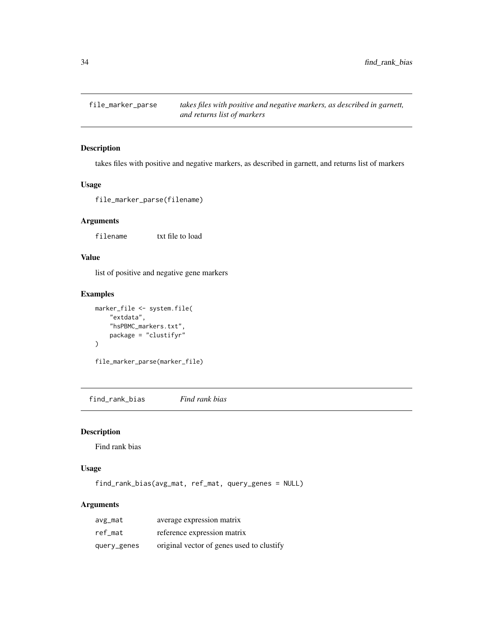<span id="page-33-0"></span>

## Description

takes files with positive and negative markers, as described in garnett, and returns list of markers

#### Usage

file\_marker\_parse(filename)

#### Arguments

filename txt file to load

## Value

list of positive and negative gene markers

#### Examples

```
marker_file <- system.file(
    "extdata",
    "hsPBMC_markers.txt",
   package = "clustifyr"
)
```
file\_marker\_parse(marker\_file)

find\_rank\_bias *Find rank bias*

## Description

Find rank bias

#### Usage

find\_rank\_bias(avg\_mat, ref\_mat, query\_genes = NULL)

## Arguments

| avg_mat     | average expression matrix                 |
|-------------|-------------------------------------------|
| ref mat     | reference expression matrix               |
| query_genes | original vector of genes used to clustify |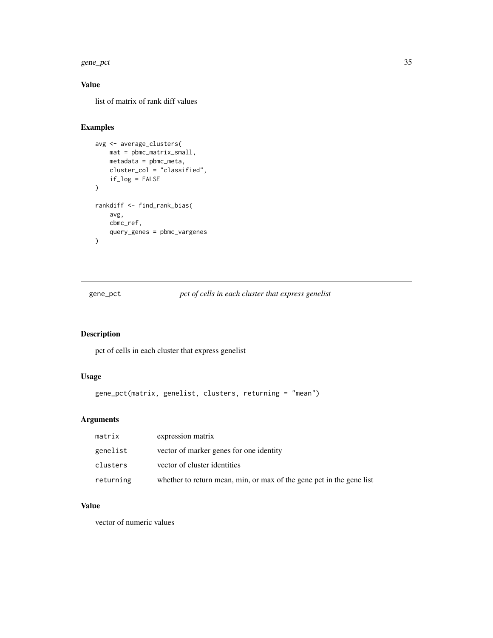#### <span id="page-34-0"></span>gene\_pct 35

## Value

list of matrix of rank diff values

## Examples

```
avg <- average_clusters(
    mat = pbmc_matrix_small,
    metadata = pbmc_meta,
    cluster_col = "classified",
    if_log = FALSE
)
rankdiff <- find_rank_bias(
    avg,
    cbmc_ref,
    query_genes = pbmc_vargenes
\lambda
```
gene\_pct *pct of cells in each cluster that express genelist*

## Description

pct of cells in each cluster that express genelist

## Usage

```
gene_pct(matrix, genelist, clusters, returning = "mean")
```
## Arguments

| matrix    | expression matrix                                                    |
|-----------|----------------------------------------------------------------------|
| genelist  | vector of marker genes for one identity                              |
| clusters  | vector of cluster identities                                         |
| returning | whether to return mean, min, or max of the gene pct in the gene list |

#### Value

vector of numeric values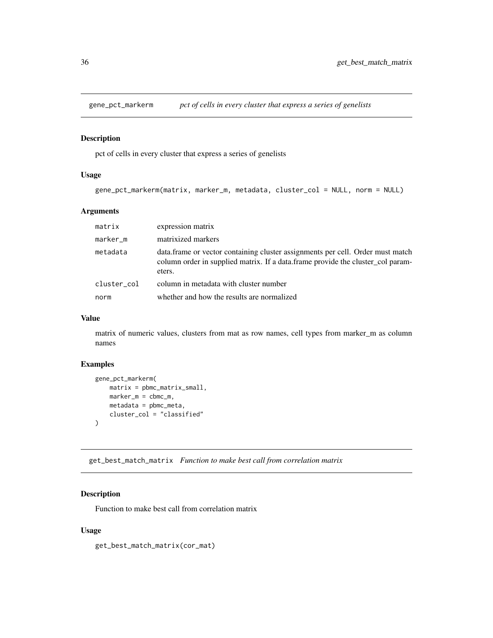<span id="page-35-0"></span>

## Description

pct of cells in every cluster that express a series of genelists

## Usage

```
gene_pct_markerm(matrix, marker_m, metadata, cluster_col = NULL, norm = NULL)
```
## Arguments

| matrix      | expression matrix                                                                                                                                                            |
|-------------|------------------------------------------------------------------------------------------------------------------------------------------------------------------------------|
| marker_m    | matrixized markers                                                                                                                                                           |
| metadata    | data. frame or vector containing cluster assignments per cell. Order must match<br>column order in supplied matrix. If a data frame provide the cluster_col param-<br>eters. |
| cluster col | column in metadata with cluster number                                                                                                                                       |
| norm        | whether and how the results are normalized                                                                                                                                   |

#### Value

matrix of numeric values, clusters from mat as row names, cell types from marker\_m as column names

## Examples

```
gene_pct_markerm(
   matrix = pbmc_matrix = smal1,marker_m = cbmc_m,
   metadata = pbmc_meta,
   cluster_col = "classified"
\lambda
```
get\_best\_match\_matrix *Function to make best call from correlation matrix*

## Description

Function to make best call from correlation matrix

## Usage

get\_best\_match\_matrix(cor\_mat)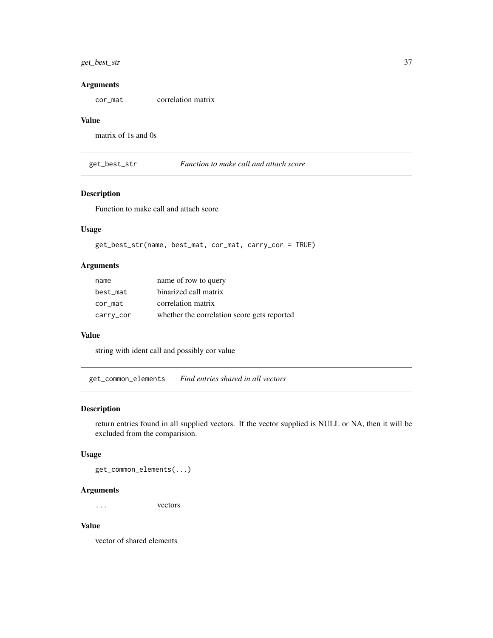# get\_best\_str 37

## Arguments

cor\_mat correlation matrix

#### Value

matrix of 1s and 0s

get\_best\_str *Function to make call and attach score*

# Description

Function to make call and attach score

### Usage

get\_best\_str(name, best\_mat, cor\_mat, carry\_cor = TRUE)

## Arguments

| name      | name of row to query                        |
|-----------|---------------------------------------------|
| best_mat  | binarized call matrix                       |
| cor_mat   | correlation matrix                          |
| carry_cor | whether the correlation score gets reported |

## Value

string with ident call and possibly cor value

get\_common\_elements *Find entries shared in all vectors*

#### Description

return entries found in all supplied vectors. If the vector supplied is NULL or NA, then it will be excluded from the comparision.

# Usage

get\_common\_elements(...)

# Arguments

... vectors

#### Value

vector of shared elements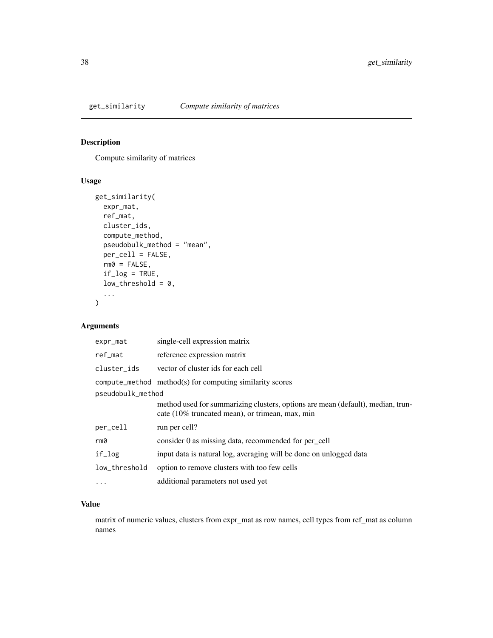Compute similarity of matrices

# Usage

```
get_similarity(
 expr_mat,
 ref_mat,
 cluster_ids,
 compute_method,
 pseudobulk_method = "mean",
 per_cell = FALSE,
 rm0 = FALSE,if\_log = TRUE,low_{threshold} = 0,
  ...
)
```
# Arguments

| expr_mat          | single-cell expression matrix                                                                                                      |  |
|-------------------|------------------------------------------------------------------------------------------------------------------------------------|--|
| ref_mat           | reference expression matrix                                                                                                        |  |
| cluster_ids       | vector of cluster ids for each cell                                                                                                |  |
|                   | $compute\_method$ method $(s)$ for computing similarity scores                                                                     |  |
| pseudobulk_method |                                                                                                                                    |  |
|                   | method used for summarizing clusters, options are mean (default), median, trun-<br>cate (10% truncated mean), or trimean, max, min |  |
| per_cell          | run per cell?                                                                                                                      |  |
| rm0               | consider 0 as missing data, recommended for per_cell                                                                               |  |
| if_log            | input data is natural log, averaging will be done on unlogged data                                                                 |  |
| low_threshold     | option to remove clusters with too few cells                                                                                       |  |
| $\cdot$           | additional parameters not used yet                                                                                                 |  |

# Value

matrix of numeric values, clusters from expr\_mat as row names, cell types from ref\_mat as column names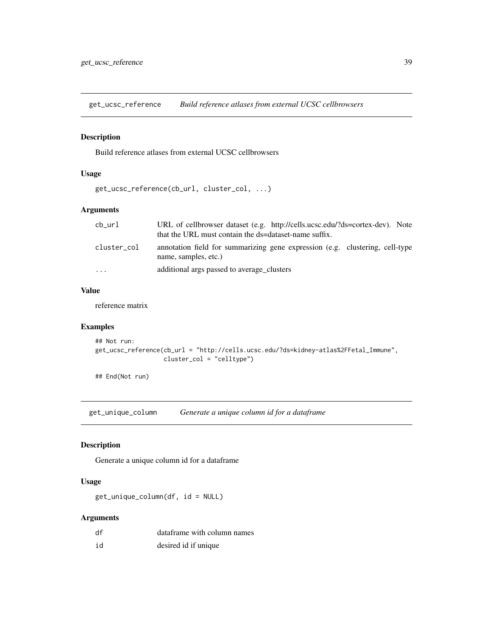get\_ucsc\_reference *Build reference atlases from external UCSC cellbrowsers*

# Description

Build reference atlases from external UCSC cellbrowsers

# Usage

```
get_ucsc_reference(cb_url, cluster_col, ...)
```
# Arguments

| cb url      | URL of cellbrowser dataset (e.g. http://cells.ucsc.edu/?ds=cortex-dev). Note<br>that the URL must contain the ds=dataset-name suffix. |
|-------------|---------------------------------------------------------------------------------------------------------------------------------------|
| cluster col | annotation field for summarizing gene expression (e.g. clustering, cell-type<br>name, samples, etc.)                                  |
| $\cdots$    | additional args passed to average clusters                                                                                            |

## Value

reference matrix

# Examples

```
## Not run:
get_ucsc_reference(cb_url = "http://cells.ucsc.edu/?ds=kidney-atlas%2FFetal_Immune",
                   cluster_col = "celltype")
```
## End(Not run)

get\_unique\_column *Generate a unique column id for a dataframe*

# Description

Generate a unique column id for a dataframe

# Usage

get\_unique\_column(df, id = NULL)

| df | dataframe with column names |
|----|-----------------------------|
| id | desired id if unique        |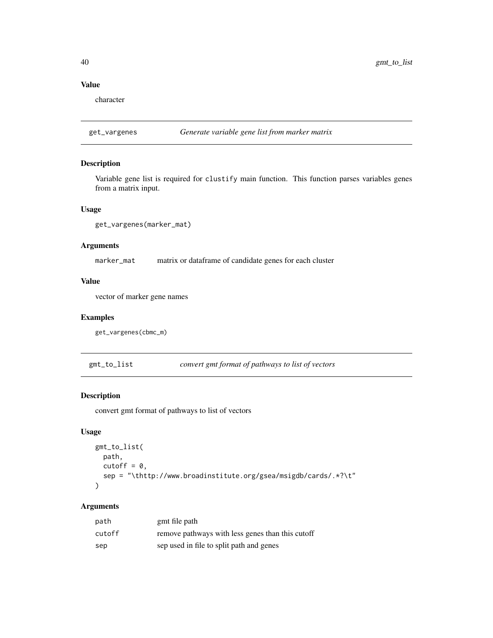# Value

character

# get\_vargenes *Generate variable gene list from marker matrix*

## Description

Variable gene list is required for clustify main function. This function parses variables genes from a matrix input.

## Usage

get\_vargenes(marker\_mat)

# Arguments

marker\_mat matrix or dataframe of candidate genes for each cluster

# Value

vector of marker gene names

# Examples

get\_vargenes(cbmc\_m)

gmt\_to\_list *convert gmt format of pathways to list of vectors*

#### Description

convert gmt format of pathways to list of vectors

#### Usage

```
gmt_to_list(
 path,
 cutoff = 0,
  sep = "\thttp://www.broadinstitute.org/gsea/msigdb/cards/.*?\t"
)
```

| path   | gmt file path                                    |
|--------|--------------------------------------------------|
| cutoff | remove pathways with less genes than this cutoff |
| sep    | sep used in file to split path and genes         |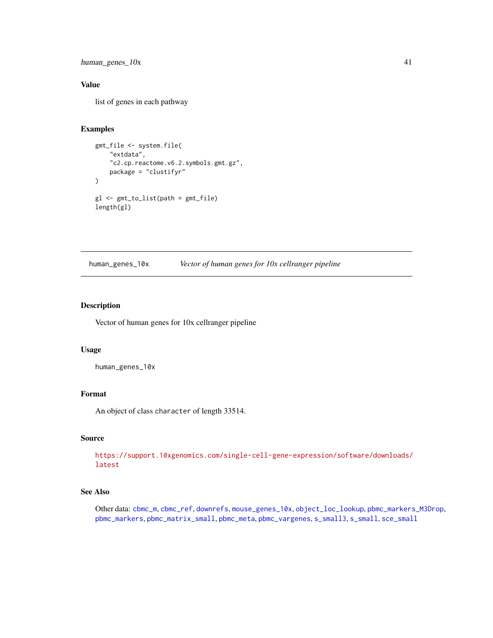human\_genes\_10x 41

# Value

list of genes in each pathway

# Examples

```
gmt_file <- system.file(
    "extdata",
    "c2.cp.reactome.v6.2.symbols.gmt.gz",
    package = "clustifyr"
\mathcal{L}gl <- gmt_to_list(path = gmt_file)
length(gl)
```
<span id="page-40-0"></span>human\_genes\_10x *Vector of human genes for 10x cellranger pipeline*

# Description

Vector of human genes for 10x cellranger pipeline

### Usage

```
human_genes_10x
```
## Format

An object of class character of length 33514.

#### Source

```
https://support.10xgenomics.com/single-cell-gene-expression/software/downloads/
latest
```
# See Also

Other data: [cbmc\\_m](#page-13-0), [cbmc\\_ref](#page-14-0), [downrefs](#page-30-0), [mouse\\_genes\\_10x](#page-45-0), [object\\_loc\\_lookup](#page-47-0), [pbmc\\_markers\\_M3Drop](#page-52-0), [pbmc\\_markers](#page-52-1), [pbmc\\_matrix\\_small](#page-53-0), [pbmc\\_meta](#page-53-1), [pbmc\\_vargenes](#page-54-0), [s\\_small3](#page-74-0), [s\\_small](#page-74-1), [sce\\_small](#page-72-0)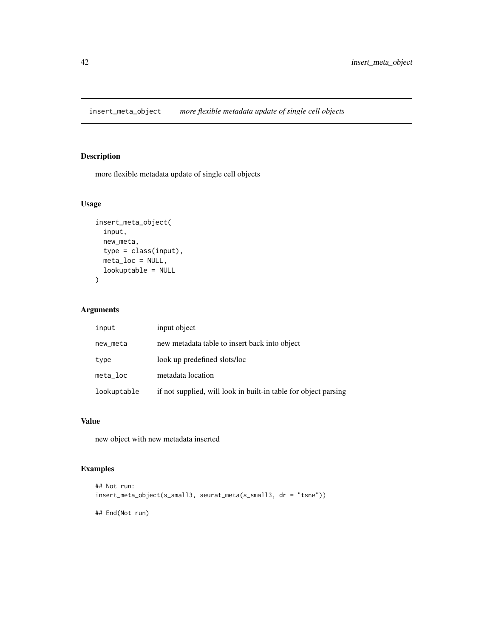insert\_meta\_object *more flexible metadata update of single cell objects*

# Description

more flexible metadata update of single cell objects

# Usage

```
insert_meta_object(
  input,
  new_meta,
  type = class(input),
  meta_loc = NULL,
  lookuptable = NULL
\mathcal{L}
```
# Arguments

| input       | input object                                                    |
|-------------|-----------------------------------------------------------------|
| new_meta    | new metadata table to insert back into object                   |
| type        | look up predefined slots/loc                                    |
| $meta\_loc$ | metadata location                                               |
| lookuptable | if not supplied, will look in built-in table for object parsing |

## Value

new object with new metadata inserted

```
## Not run:
insert_meta_object(s_small3, seurat_meta(s_small3, dr = "tsne"))
## End(Not run)
```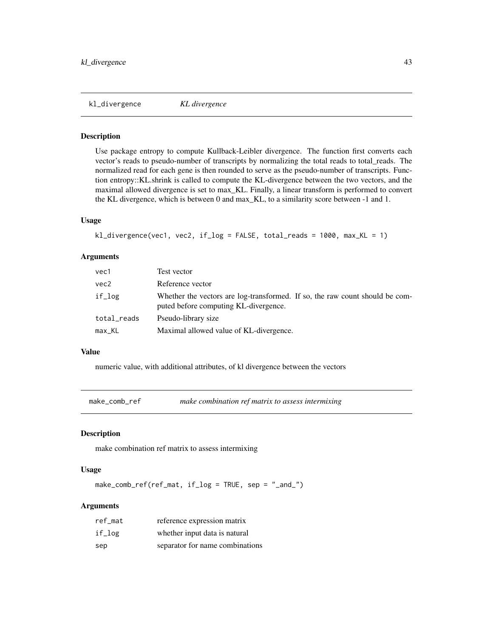kl\_divergence *KL divergence*

#### Description

Use package entropy to compute Kullback-Leibler divergence. The function first converts each vector's reads to pseudo-number of transcripts by normalizing the total reads to total\_reads. The normalized read for each gene is then rounded to serve as the pseudo-number of transcripts. Function entropy::KL.shrink is called to compute the KL-divergence between the two vectors, and the maximal allowed divergence is set to max\_KL. Finally, a linear transform is performed to convert the KL divergence, which is between 0 and max\_KL, to a similarity score between -1 and 1.

#### Usage

```
kl_divergence(vec1, vec2, if_log = FALSE, total_reads = 1000, max_KL = 1)
```
#### Arguments

| vec1        | Test vector                                                                                                           |
|-------------|-----------------------------------------------------------------------------------------------------------------------|
| vec2        | Reference vector                                                                                                      |
| if_log      | Whether the vectors are log-transformed. If so, the raw count should be com-<br>puted before computing KL-divergence. |
| total_reads | Pseudo-library size                                                                                                   |
| max_KL      | Maximal allowed value of KL-divergence.                                                                               |

#### Value

numeric value, with additional attributes, of kl divergence between the vectors

make\_comb\_ref *make combination ref matrix to assess intermixing*

#### Description

make combination ref matrix to assess intermixing

#### Usage

make\_comb\_ref(ref\_mat, if\_log = TRUE, sep = "\_and\_")

| ref mat | reference expression matrix     |
|---------|---------------------------------|
| if_log  | whether input data is natural   |
| sep     | separator for name combinations |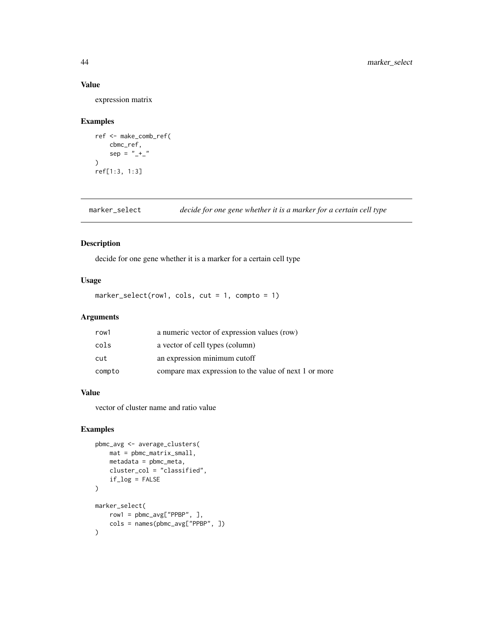## Value

expression matrix

## Examples

```
ref <- make_comb_ref(
    cbmc_ref,
    sep = " +_"
\mathcal{L}ref[1:3, 1:3]
```
marker\_select *decide for one gene whether it is a marker for a certain cell type*

# Description

decide for one gene whether it is a marker for a certain cell type

# Usage

```
marker_select(row1, cols, cut = 1, compto = 1)
```
# Arguments

| row1   | a numeric vector of expression values (row)           |
|--------|-------------------------------------------------------|
| cols   | a vector of cell types (column)                       |
| cut    | an expression minimum cutoff                          |
| compto | compare max expression to the value of next 1 or more |

# Value

vector of cluster name and ratio value

```
pbmc_avg <- average_clusters(
    mat = pbmc_matrix_small,
    metadata = pbmc_meta,
    cluster_col = "classified",
    if_log = FALSE
\mathcal{L}marker_select(
    row1 = pbmc_avg["PPBP", ],
    cols = names(pbmc_avg["PPBP", ])
\mathcal{L}
```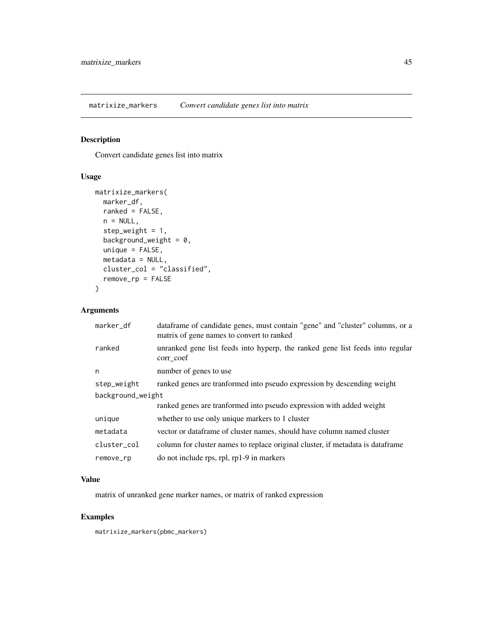matrixize\_markers *Convert candidate genes list into matrix*

# Description

Convert candidate genes list into matrix

# Usage

```
matrixize_markers(
 marker_df,
 ranked = FALSE,
 n = NULL,step_weight = 1,
 background_weight = 0,
 unique = FALSE,metadata = NULL,
 cluster_col = "classified",
  remove_rp = FALSE
)
```
# Arguments

| marker_df         | data frame of candidate genes, must contain "gene" and "cluster" columns, or a<br>matrix of gene names to convert to ranked |  |
|-------------------|-----------------------------------------------------------------------------------------------------------------------------|--|
| ranked            | unranked gene list feeds into hyperp, the ranked gene list feeds into regular<br>corr_coef                                  |  |
| n                 | number of genes to use                                                                                                      |  |
| step_weight       | ranked genes are transformed into pseudo expression by descending weight                                                    |  |
| background_weight |                                                                                                                             |  |
|                   | ranked genes are tranformed into pseudo expression with added weight                                                        |  |
| unique            | whether to use only unique markers to 1 cluster                                                                             |  |
| metadata          | vector or dataframe of cluster names, should have column named cluster                                                      |  |
| cluster_col       | column for cluster names to replace original cluster, if metadata is dataframe                                              |  |
| remove_rp         | do not include rps, rpl, rp1-9 in markers                                                                                   |  |

# Value

matrix of unranked gene marker names, or matrix of ranked expression

# Examples

matrixize\_markers(pbmc\_markers)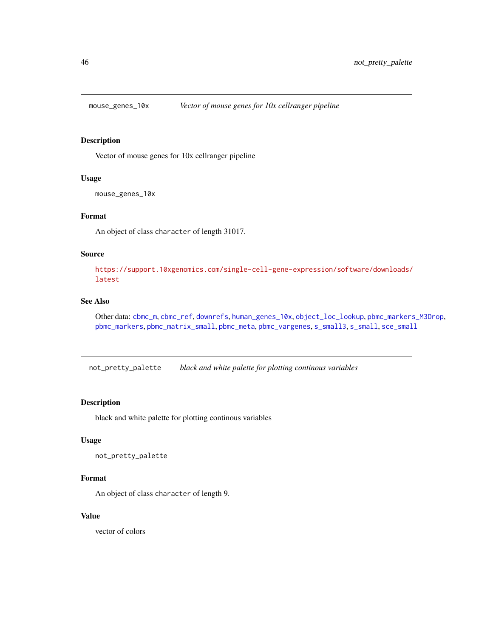<span id="page-45-0"></span>

Vector of mouse genes for 10x cellranger pipeline

#### Usage

mouse\_genes\_10x

#### Format

An object of class character of length 31017.

#### Source

[https://support.10xgenomics.com/single-cell-gene-expression/software/downloads/](https://support.10xgenomics.com/single-cell-gene-expression/software/downloads/latest) [latest](https://support.10xgenomics.com/single-cell-gene-expression/software/downloads/latest)

# See Also

Other data: [cbmc\\_m](#page-13-0), [cbmc\\_ref](#page-14-0), [downrefs](#page-30-0), [human\\_genes\\_10x](#page-40-0), [object\\_loc\\_lookup](#page-47-0), [pbmc\\_markers\\_M3Drop](#page-52-0), [pbmc\\_markers](#page-52-1), [pbmc\\_matrix\\_small](#page-53-0), [pbmc\\_meta](#page-53-1), [pbmc\\_vargenes](#page-54-0), [s\\_small3](#page-74-0), [s\\_small](#page-74-1), [sce\\_small](#page-72-0)

not\_pretty\_palette *black and white palette for plotting continous variables*

#### Description

black and white palette for plotting continous variables

#### Usage

```
not_pretty_palette
```
# Format

An object of class character of length 9.

#### Value

vector of colors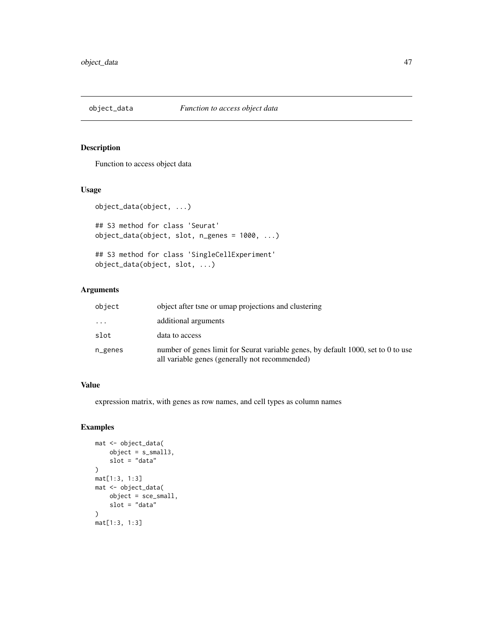Function to access object data

### Usage

```
object_data(object, ...)
## S3 method for class 'Seurat'
object_data(object, slot, n_genes = 1000, ...)
```

```
## S3 method for class 'SingleCellExperiment'
object_data(object, slot, ...)
```
# Arguments

| object   | object after tsne or umap projections and clustering                                                                                |
|----------|-------------------------------------------------------------------------------------------------------------------------------------|
| $\cdots$ | additional arguments                                                                                                                |
| slot     | data to access                                                                                                                      |
| n_genes  | number of genes limit for Seurat variable genes, by default 1000, set to 0 to use<br>all variable genes (generally not recommended) |

## Value

expression matrix, with genes as row names, and cell types as column names

```
mat <- object_data(
    object = s_small3,
    slot = "data"
\mathcal{L}mat[1:3, 1:3]
mat <- object_data(
    object = sce_small,
    slot = "data"
)
mat[1:3, 1:3]
```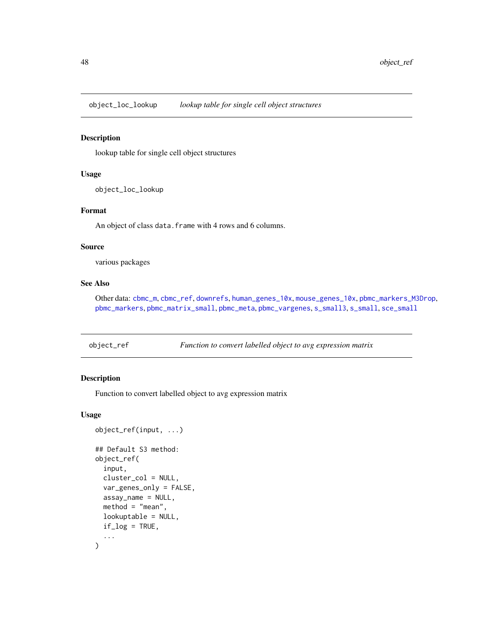<span id="page-47-0"></span>object\_loc\_lookup *lookup table for single cell object structures*

#### Description

lookup table for single cell object structures

#### Usage

object\_loc\_lookup

#### Format

An object of class data. frame with 4 rows and 6 columns.

#### Source

various packages

# See Also

Other data: [cbmc\\_m](#page-13-0), [cbmc\\_ref](#page-14-0), [downrefs](#page-30-0), [human\\_genes\\_10x](#page-40-0), [mouse\\_genes\\_10x](#page-45-0), [pbmc\\_markers\\_M3Drop](#page-52-0), [pbmc\\_markers](#page-52-1), [pbmc\\_matrix\\_small](#page-53-0), [pbmc\\_meta](#page-53-1), [pbmc\\_vargenes](#page-54-0), [s\\_small3](#page-74-0), [s\\_small](#page-74-1), [sce\\_small](#page-72-0)

object\_ref *Function to convert labelled object to avg expression matrix*

#### Description

Function to convert labelled object to avg expression matrix

#### Usage

```
object_ref(input, ...)
## Default S3 method:
object_ref(
  input,
  cluster_col = NULL,
  var_genes_only = FALSE,
  assay_name = NULL,
 method = "mean",lookuptable = NULL,
  if\_log = TRUE,...
)
```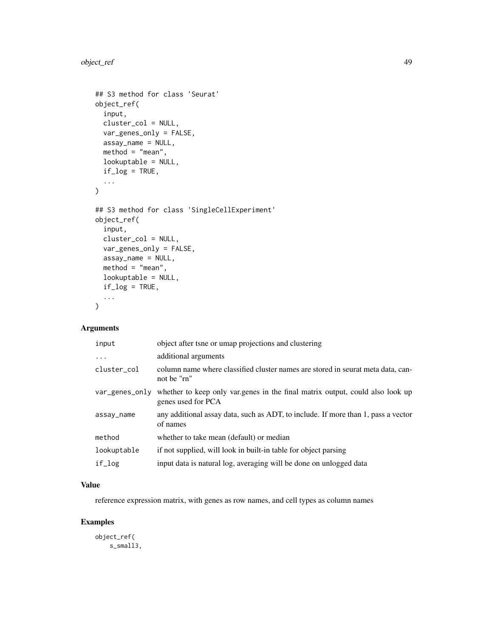```
## S3 method for class 'Seurat'
object_ref(
  input,
 cluster_col = NULL,
 var_genes_only = FALSE,
 assay_name = NULL,
 method = "mean",lookuptable = NULL,
 if\_log = TRUE,...
\mathcal{L}## S3 method for class 'SingleCellExperiment'
object_ref(
  input,
 cluster_col = NULL,
 var_genes_only = FALSE,
 assay_name = NULL,
 method = "mean",lookuptable = NULL,
 if\_log = TRUE,...
\mathcal{L}
```
# Arguments

| input          | object after tsne or umap projections and clustering                                                |
|----------------|-----------------------------------------------------------------------------------------------------|
| $\ddots$ .     | additional arguments                                                                                |
| cluster_col    | column name where classified cluster names are stored in seurat meta data, can-<br>not be "rn"      |
| var_genes_only | whether to keep only varigenes in the final matrix output, could also look up<br>genes used for PCA |
| assay_name     | any additional assay data, such as ADT, to include. If more than 1, pass a vector<br>of names       |
| method         | whether to take mean (default) or median                                                            |
| lookuptable    | if not supplied, will look in built-in table for object parsing                                     |
| if_log         | input data is natural log, averaging will be done on unlogged data                                  |

# Value

reference expression matrix, with genes as row names, and cell types as column names

# Examples

object\_ref( s\_small3,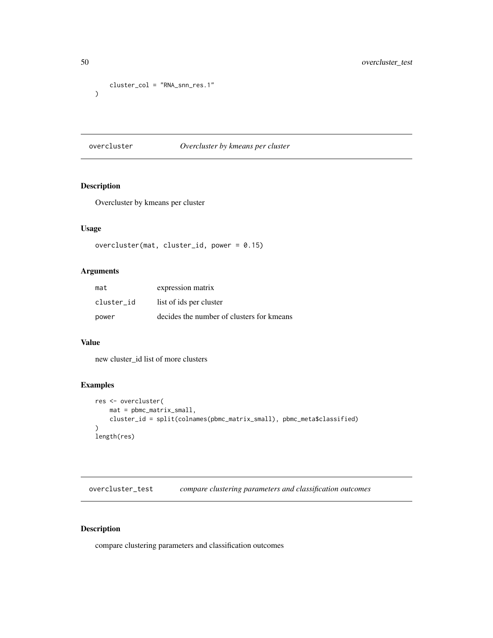```
cluster_col = "RNA_snn_res.1"
\mathcal{L}
```
# overcluster *Overcluster by kmeans per cluster*

# Description

Overcluster by kmeans per cluster

# Usage

```
overcluster(mat, cluster_id, power = 0.15)
```
## Arguments

| mat        | expression matrix                         |
|------------|-------------------------------------------|
| cluster id | list of ids per cluster                   |
| power      | decides the number of clusters for kmeans |

## Value

new cluster\_id list of more clusters

# Examples

```
res <- overcluster(
    mat = pbmc_matrix_small,
    cluster_id = split(colnames(pbmc_matrix_small), pbmc_meta$classified)
\mathcal{L}length(res)
```
overcluster\_test *compare clustering parameters and classification outcomes*

# Description

compare clustering parameters and classification outcomes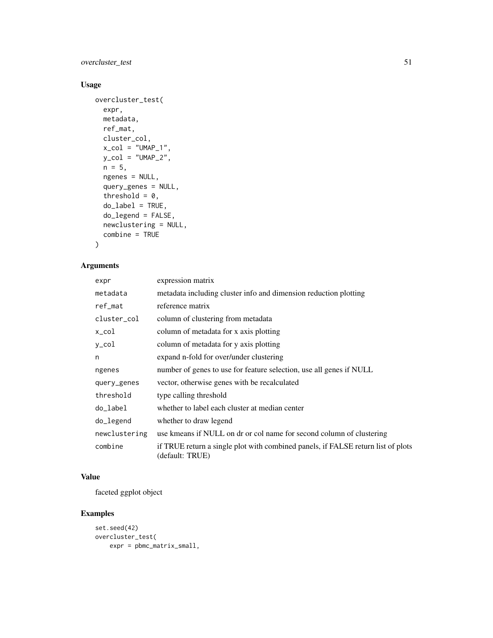# overcluster\_test 51

# Usage

```
overcluster_test(
 expr,
 metadata,
 ref_mat,
 cluster_col,
 x_{col} = "UMAP_1",y_{col} = "UMAP_2",n = 5,
 ngenes = NULL,
  query_genes = NULL,
  threshold = 0,
 do\_label = TRUE,do_legend = FALSE,
 newclustering = NULL,
 combine = TRUE
)
```
# Arguments

| expr          | expression matrix                                                                                   |
|---------------|-----------------------------------------------------------------------------------------------------|
| metadata      | metadata including cluster info and dimension reduction plotting                                    |
| ref_mat       | reference matrix                                                                                    |
| cluster_col   | column of clustering from metadata                                                                  |
| x_col         | column of metadata for x axis plotting                                                              |
| y_col         | column of metadata for y axis plotting                                                              |
| n             | expand n-fold for over/under clustering                                                             |
| ngenes        | number of genes to use for feature selection, use all genes if NULL                                 |
| query_genes   | vector, otherwise genes with be recalculated                                                        |
| threshold     | type calling threshold                                                                              |
| do_label      | whether to label each cluster at median center                                                      |
| do_legend     | whether to draw legend                                                                              |
| newclustering | use kmeans if NULL on dr or col name for second column of clustering                                |
| combine       | if TRUE return a single plot with combined panels, if FALSE return list of plots<br>(default: TRUE) |

# Value

faceted ggplot object

```
set.seed(42)
overcluster_test(
   expr = pbmc_matrix_small,
```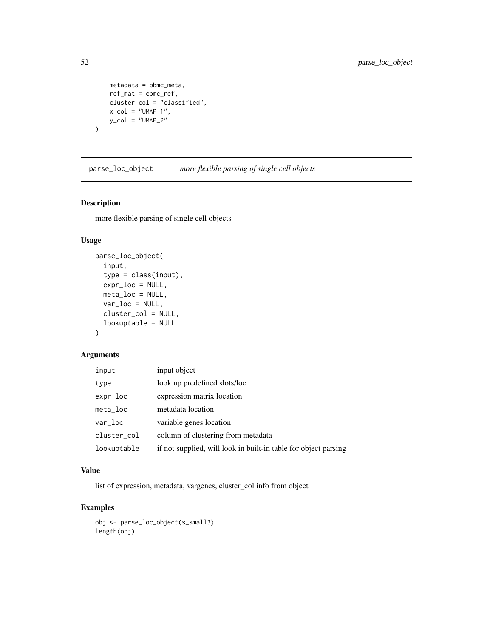```
metadata = pbmc_meta,
ref_mat = cbmc_ref,
cluster_col = "classified",
x_{\text{col}} = "UMAP_1",y_{col} = "UMAP_2"
```
parse\_loc\_object *more flexible parsing of single cell objects*

# Description

)

more flexible parsing of single cell objects

## Usage

```
parse_loc_object(
  input,
  type = class(input),
 expr_loc = NULL,
 meta_loc = NULL,
 var_loc = NULL,
 cluster_col = NULL,
  lookuptable = NULL
\mathcal{L}
```
# Arguments

| input       | input object                                                    |
|-------------|-----------------------------------------------------------------|
| type        | look up predefined slots/loc                                    |
| expr_loc    | expression matrix location                                      |
| $meta\_loc$ | metadata location                                               |
| var_loc     | variable genes location                                         |
| cluster_col | column of clustering from metadata                              |
| lookuptable | if not supplied, will look in built-in table for object parsing |

# Value

list of expression, metadata, vargenes, cluster\_col info from object

```
obj <- parse_loc_object(s_small3)
length(obj)
```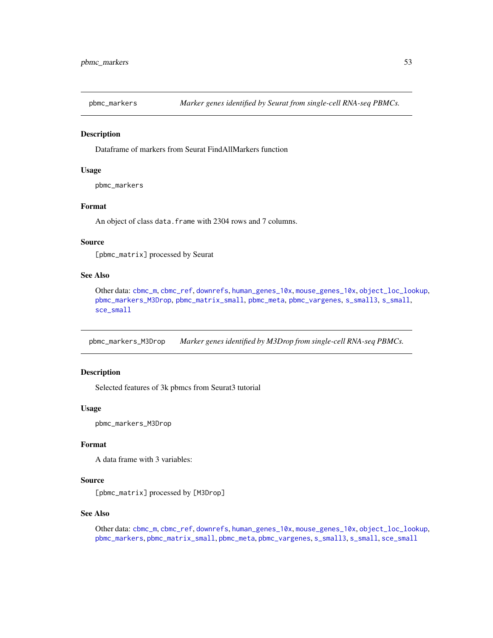<span id="page-52-1"></span>

Dataframe of markers from Seurat FindAllMarkers function

#### Usage

pbmc\_markers

#### Format

An object of class data. frame with 2304 rows and 7 columns.

#### Source

[pbmc\_matrix] processed by Seurat

# See Also

Other data: [cbmc\\_m](#page-13-0), [cbmc\\_ref](#page-14-0), [downrefs](#page-30-0), [human\\_genes\\_10x](#page-40-0), [mouse\\_genes\\_10x](#page-45-0), [object\\_loc\\_lookup](#page-47-0), [pbmc\\_markers\\_M3Drop](#page-52-0), [pbmc\\_matrix\\_small](#page-53-0), [pbmc\\_meta](#page-53-1), [pbmc\\_vargenes](#page-54-0), [s\\_small3](#page-74-0), [s\\_small](#page-74-1), [sce\\_small](#page-72-0)

<span id="page-52-0"></span>pbmc\_markers\_M3Drop *Marker genes identified by M3Drop from single-cell RNA-seq PBMCs.*

# Description

Selected features of 3k pbmcs from Seurat3 tutorial

#### Usage

pbmc\_markers\_M3Drop

#### Format

A data frame with 3 variables:

#### Source

[pbmc\_matrix] processed by [M3Drop]

## See Also

Other data: [cbmc\\_m](#page-13-0), [cbmc\\_ref](#page-14-0), [downrefs](#page-30-0), [human\\_genes\\_10x](#page-40-0), [mouse\\_genes\\_10x](#page-45-0), [object\\_loc\\_lookup](#page-47-0), [pbmc\\_markers](#page-52-1), [pbmc\\_matrix\\_small](#page-53-0), [pbmc\\_meta](#page-53-1), [pbmc\\_vargenes](#page-54-0), [s\\_small3](#page-74-0), [s\\_small](#page-74-1), [sce\\_small](#page-72-0)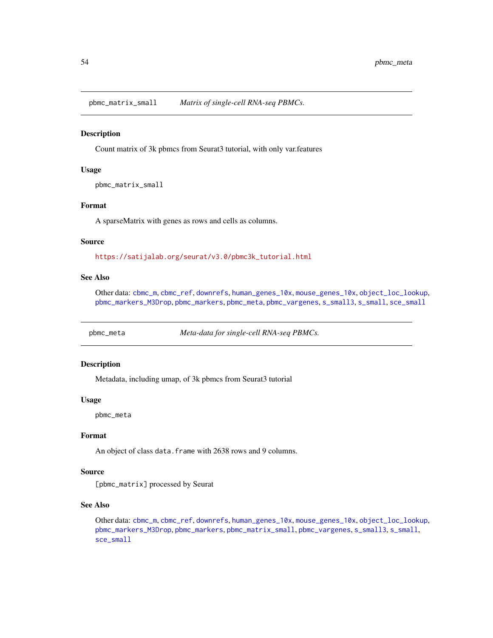<span id="page-53-0"></span>pbmc\_matrix\_small *Matrix of single-cell RNA-seq PBMCs.*

#### Description

Count matrix of 3k pbmcs from Seurat3 tutorial, with only var.features

### Usage

pbmc\_matrix\_small

#### Format

A sparseMatrix with genes as rows and cells as columns.

#### Source

[https://satijalab.org/seurat/v3.0/pbmc3k\\_tutorial.html](https://satijalab.org/seurat/v3.0/pbmc3k_tutorial.html)

# See Also

Other data: [cbmc\\_m](#page-13-0), [cbmc\\_ref](#page-14-0), [downrefs](#page-30-0), [human\\_genes\\_10x](#page-40-0), [mouse\\_genes\\_10x](#page-45-0), [object\\_loc\\_lookup](#page-47-0), [pbmc\\_markers\\_M3Drop](#page-52-0), [pbmc\\_markers](#page-52-1), [pbmc\\_meta](#page-53-1), [pbmc\\_vargenes](#page-54-0), [s\\_small3](#page-74-0), [s\\_small](#page-74-1), [sce\\_small](#page-72-0)

<span id="page-53-1"></span>pbmc\_meta *Meta-data for single-cell RNA-seq PBMCs.*

## Description

Metadata, including umap, of 3k pbmcs from Seurat3 tutorial

#### Usage

pbmc\_meta

#### Format

An object of class data. frame with 2638 rows and 9 columns.

#### Source

[pbmc\_matrix] processed by Seurat

# See Also

Other data: [cbmc\\_m](#page-13-0), [cbmc\\_ref](#page-14-0), [downrefs](#page-30-0), [human\\_genes\\_10x](#page-40-0), [mouse\\_genes\\_10x](#page-45-0), [object\\_loc\\_lookup](#page-47-0), [pbmc\\_markers\\_M3Drop](#page-52-0), [pbmc\\_markers](#page-52-1), [pbmc\\_matrix\\_small](#page-53-0), [pbmc\\_vargenes](#page-54-0), [s\\_small3](#page-74-0), [s\\_small](#page-74-1), [sce\\_small](#page-72-0)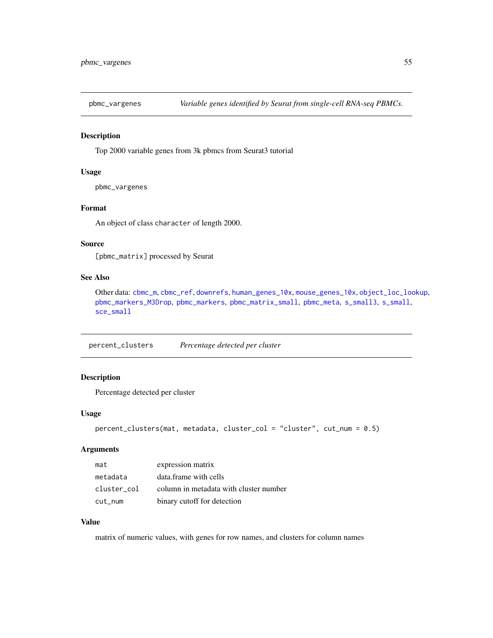<span id="page-54-0"></span>

Top 2000 variable genes from 3k pbmcs from Seurat3 tutorial

#### Usage

pbmc\_vargenes

## Format

An object of class character of length 2000.

# Source

[pbmc\_matrix] processed by Seurat

# See Also

Other data: [cbmc\\_m](#page-13-0), [cbmc\\_ref](#page-14-0), [downrefs](#page-30-0), [human\\_genes\\_10x](#page-40-0), [mouse\\_genes\\_10x](#page-45-0), [object\\_loc\\_lookup](#page-47-0), [pbmc\\_markers\\_M3Drop](#page-52-0), [pbmc\\_markers](#page-52-1), [pbmc\\_matrix\\_small](#page-53-0), [pbmc\\_meta](#page-53-1), [s\\_small3](#page-74-0), [s\\_small](#page-74-1), [sce\\_small](#page-72-0)

percent\_clusters *Percentage detected per cluster*

# Description

Percentage detected per cluster

## Usage

```
percent_clusters(mat, metadata, cluster_col = "cluster", cut_num = 0.5)
```
# Arguments

| mat         | expression matrix                      |
|-------------|----------------------------------------|
| metadata    | data frame with cells                  |
| cluster col | column in metadata with cluster number |
| cut_num     | binary cutoff for detection            |

# Value

matrix of numeric values, with genes for row names, and clusters for column names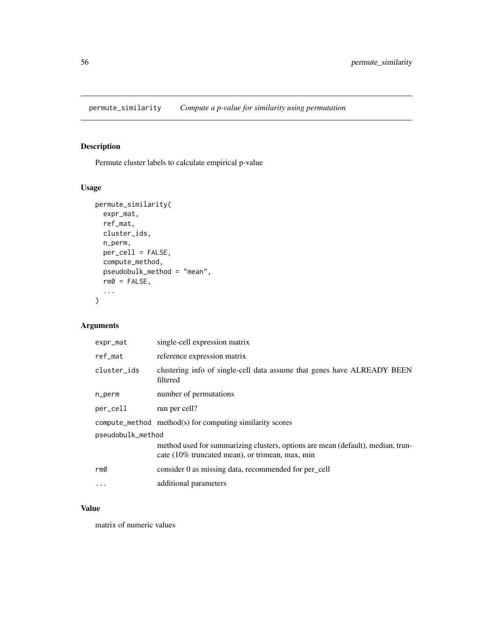permute\_similarity *Compute a p-value for similarity using permutation*

# Description

Permute cluster labels to calculate empirical p-value

# Usage

```
permute_similarity(
 expr_mat,
 ref_mat,
 cluster_ids,
 n_perm,
 per_cell = FALSE,
 compute_method,
 pseudobulk_method = "mean",
 rm0 = FALSE,...
\mathcal{L}
```
# Arguments

| expr_mat          | single-cell expression matrix                                                                                                      |  |
|-------------------|------------------------------------------------------------------------------------------------------------------------------------|--|
| ref_mat           | reference expression matrix                                                                                                        |  |
| cluster_ids       | clustering info of single-cell data assume that genes have ALREADY BEEN<br>filtered                                                |  |
| n_perm            | number of permutations                                                                                                             |  |
| per_cell          | run per cell?                                                                                                                      |  |
|                   | $compute\_method$ method $(s)$ for computing similarity scores                                                                     |  |
| pseudobulk_method |                                                                                                                                    |  |
|                   | method used for summarizing clusters, options are mean (default), median, trun-<br>cate (10% truncated mean), or trimean, max, min |  |
| rm0               | consider 0 as missing data, recommended for per_cell                                                                               |  |
| .                 | additional parameters                                                                                                              |  |
|                   |                                                                                                                                    |  |

# Value

matrix of numeric values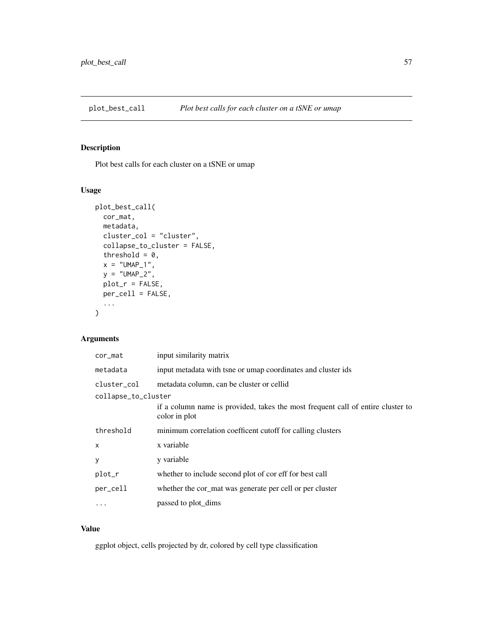Plot best calls for each cluster on a tSNE or umap

# Usage

```
plot_best_call(
 cor_mat,
 metadata,
 cluster_col = "cluster",
 collapse_to_cluster = FALSE,
  threshold = 0,
 x = "UMAP_1",y = "UMAP_2",plot_r = FALSE,
 per_cell = FALSE,
  ...
)
```
# Arguments

| cor_mat             | input similarity matrix                                                                          |  |
|---------------------|--------------------------------------------------------------------------------------------------|--|
| metadata            | input metadata with tsne or umap coordinates and cluster ids                                     |  |
| cluster col         | metadata column, can be cluster or cellid                                                        |  |
| collapse_to_cluster |                                                                                                  |  |
|                     | if a column name is provided, takes the most frequent call of entire cluster to<br>color in plot |  |
| threshold           | minimum correlation coefficent cutoff for calling clusters                                       |  |
| X                   | x variable                                                                                       |  |
| y                   | y variable                                                                                       |  |
| plot_r              | whether to include second plot of coreff for best call                                           |  |
| per_cell            | whether the cor_mat was generate per cell or per cluster                                         |  |
| .                   | passed to plot_dims                                                                              |  |

### Value

ggplot object, cells projected by dr, colored by cell type classification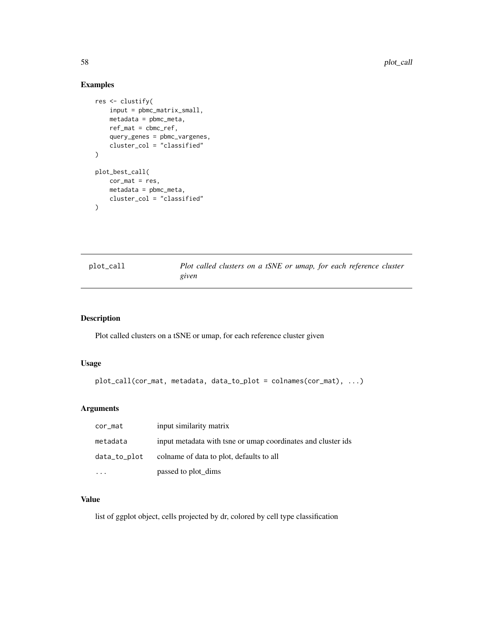58 plot\_call and the property of the set of the set of the set of the set of the set of the set of the set of the set of the set of the set of the set of the set of the set of the set of the set of the set of the set of th

# Examples

```
res <- clustify(
    input = pbmc_matrix_small,
    metadata = pbmc_meta,
    ref_mat = cbmc_ref,
    query_genes = pbmc_vargenes,
    cluster_col = "classified"
)
plot_best_call(
    cor\_mat = res,
    metadata = pbmc_meta,
    cluster_col = "classified"
\mathcal{L}
```
plot\_call *Plot called clusters on a tSNE or umap, for each reference cluster given*

# Description

Plot called clusters on a tSNE or umap, for each reference cluster given

## Usage

```
plot_call(cor_mat, metadata, data_to_plot = colnames(cor_mat), ...)
```
# Arguments

| cor_mat      | input similarity matrix                                      |
|--------------|--------------------------------------------------------------|
| metadata     | input metadata with tsne or umap coordinates and cluster ids |
| data_to_plot | colname of data to plot, defaults to all                     |
|              | passed to plot_dims                                          |

### Value

list of ggplot object, cells projected by dr, colored by cell type classification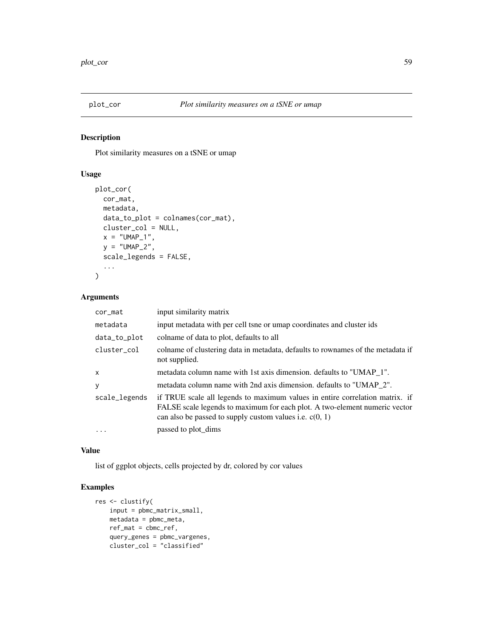Plot similarity measures on a tSNE or umap

# Usage

```
plot_cor(
 cor_mat,
 metadata,
 data_to_plot = colnames(cor_mat),
 cluster_col = NULL,
 x = "UMAP_1",y = "UMAP_2",scale_legends = FALSE,
  ...
)
```
# Arguments

| cor_mat       | input similarity matrix                                                                                                                                                                                                 |
|---------------|-------------------------------------------------------------------------------------------------------------------------------------------------------------------------------------------------------------------------|
| metadata      | input metadata with per cell tsne or umap coordinates and cluster ids                                                                                                                                                   |
| data_to_plot  | colname of data to plot, defaults to all                                                                                                                                                                                |
| cluster col   | colname of clustering data in metadata, defaults to rownames of the metadata if<br>not supplied.                                                                                                                        |
| $\mathsf{x}$  | metadata column name with 1st axis dimension. defaults to "UMAP_1".                                                                                                                                                     |
| У             | metadata column name with 2nd axis dimension. defaults to "UMAP_2".                                                                                                                                                     |
| scale_legends | if TRUE scale all legends to maximum values in entire correlation matrix. if<br>FALSE scale legends to maximum for each plot. A two-element numeric vector<br>can also be passed to supply custom values i.e. $c(0, 1)$ |
| $\cdots$      | passed to plot_dims                                                                                                                                                                                                     |

## Value

list of ggplot objects, cells projected by dr, colored by cor values

```
res <- clustify(
   input = pbmc_matrix_small,
   metadata = pbmc_meta,
   ref_mat = cbmc_ref,
   query_genes = pbmc_vargenes,
   cluster_col = "classified"
```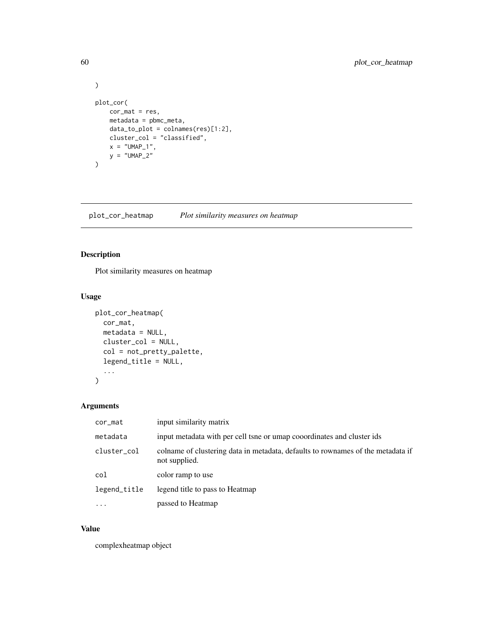```
\overline{)}plot_cor(
   cor_mat = res,
    metadata = pbmc_meta,
    data_to_plot = colnames(res)[1:2],
    cluster_col = "classified",
    x = "UMAP_1",y = "UMAP_2"\mathcal{L}
```
plot\_cor\_heatmap *Plot similarity measures on heatmap*

# Description

Plot similarity measures on heatmap

# Usage

```
plot_cor_heatmap(
  cor_mat,
  metadata = NULL,
  cluster_col = NULL,
  col = not_pretty_palette,
  legend_title = NULL,
  ...
\mathcal{L}
```
## Arguments

| cor_mat      | input similarity matrix                                                                          |
|--------------|--------------------------------------------------------------------------------------------------|
| metadata     | input metadata with per cell tsne or umap cooordinates and cluster ids                           |
| cluster_col  | colname of clustering data in metadata, defaults to rownames of the metadata if<br>not supplied. |
| col          | color ramp to use                                                                                |
| legend_title | legend title to pass to Heatmap                                                                  |
| $\ddotsc$    | passed to Heatmap                                                                                |

### Value

complexheatmap object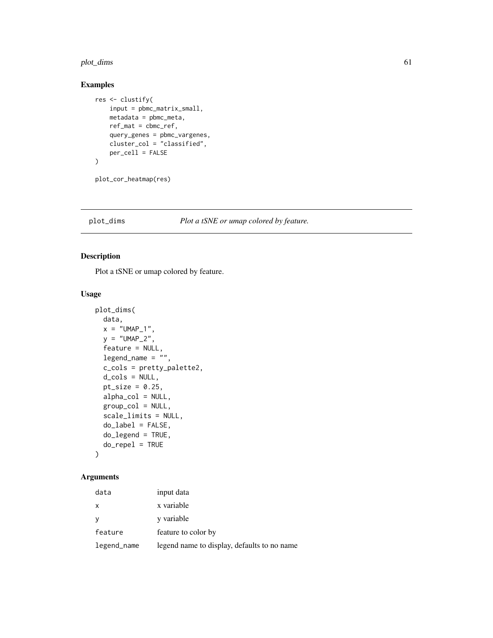#### plot\_dims 61

# Examples

```
res <- clustify(
   input = pbmc_matrix_small,
   metadata = pbmc_meta,
   ref_mat = cbmc_ref,
   query_genes = pbmc_vargenes,
   cluster_col = "classified",
   per_cell = FALSE
)
```
plot\_cor\_heatmap(res)

# plot\_dims *Plot a tSNE or umap colored by feature.*

# Description

Plot a tSNE or umap colored by feature.

## Usage

```
plot_dims(
 data,
 x = "UMAP_1",y = "UMAP_2",feature = NULL,
 legend_name = "",c_cols = pretty_palette2,
 d_cols = NULL,
 pt\_size = 0.25,
 alpha_col = NULL,
 group_col = NULL,
  scale_limits = NULL,
 do_label = FALSE,
 do_legend = TRUE,
 do_repel = TRUE
\mathcal{L}
```

| data         | input data                                  |
|--------------|---------------------------------------------|
| $\mathsf{X}$ | x variable                                  |
|              | y variable                                  |
| feature      | feature to color by                         |
| legend_name  | legend name to display, defaults to no name |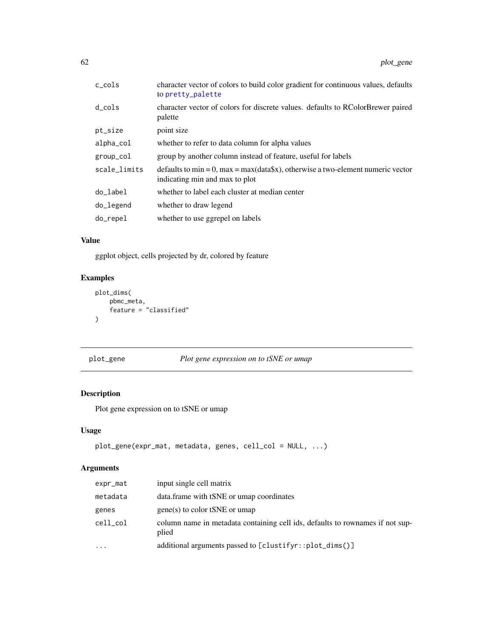| c_cols       | character vector of colors to build color gradient for continuous values, defaults<br>to pretty_palette           |
|--------------|-------------------------------------------------------------------------------------------------------------------|
| d_cols       | character vector of colors for discrete values. defaults to RColorBrewer paired<br>palette                        |
| pt_size      | point size                                                                                                        |
| alpha_col    | whether to refer to data column for alpha values                                                                  |
| group_col    | group by another column instead of feature, useful for labels                                                     |
| scale_limits | defaults to min = 0, max = max(data\$x), otherwise a two-element numeric vector<br>indicating min and max to plot |
| do_label     | whether to label each cluster at median center                                                                    |
| do_legend    | whether to draw legend                                                                                            |
| do_repel     | whether to use ggrepel on labels                                                                                  |

# Value

ggplot object, cells projected by dr, colored by feature

# Examples

```
plot_dims(
     pbmc_meta,
     feature = "classified"
\mathcal{L}
```
plot\_gene *Plot gene expression on to tSNE or umap*

# Description

Plot gene expression on to tSNE or umap

# Usage

```
plot_gene(expr_mat, metadata, genes, cell_col = NULL, ...)
```

| expr_mat | input single cell matrix                                                               |
|----------|----------------------------------------------------------------------------------------|
| metadata | data.frame with tSNE or umap coordinates                                               |
| genes    | $gene(s)$ to color tSNE or umap                                                        |
| cell_col | column name in metadata containing cell ids, defaults to rownames if not sup-<br>plied |
| $\cdots$ | additional arguments passed to [clustifyr::plot_dims()]                                |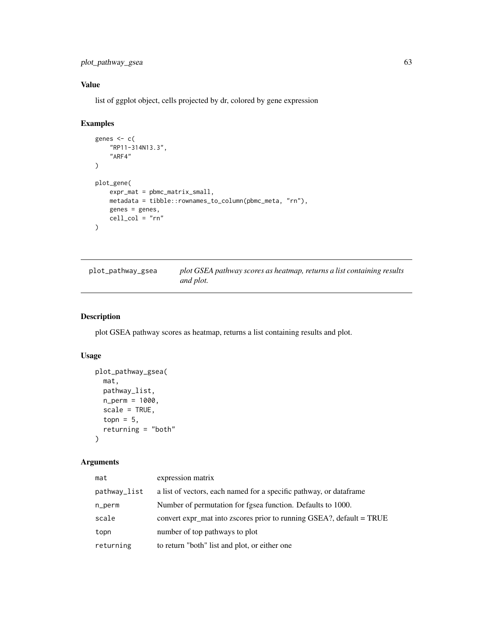plot\_pathway\_gsea 63

# Value

list of ggplot object, cells projected by dr, colored by gene expression

# Examples

```
genes <- c(
    "RP11-314N13.3",
    "ARF4"
\lambdaplot_gene(
    expr_mat = pbmc_matrix_small,
    metadata = tibble::rownames_to_column(pbmc_meta, "rn"),
    genes = genes,
    cell_col = "rn"
\mathcal{L}
```

| plot_pathway_gsea | plot GSEA pathway scores as heatmap, returns a list containing results |  |
|-------------------|------------------------------------------------------------------------|--|
|                   | and plot.                                                              |  |

# Description

plot GSEA pathway scores as heatmap, returns a list containing results and plot.

# Usage

```
plot_pathway_gsea(
 mat,
 pathway_list,
 n_perm = 1000,
 scale = TRUE,
 topn = 5,returning = "both"
)
```

| mat          | expression matrix                                                    |
|--------------|----------------------------------------------------------------------|
| pathway_list | a list of vectors, each named for a specific pathway, or data frame  |
| n_perm       | Number of permutation for fgsea function. Defaults to 1000.          |
| scale        | convert expr_mat into zscores prior to running GSEA?, default = TRUE |
| topn         | number of top pathways to plot                                       |
| returning    | to return "both" list and plot, or either one                        |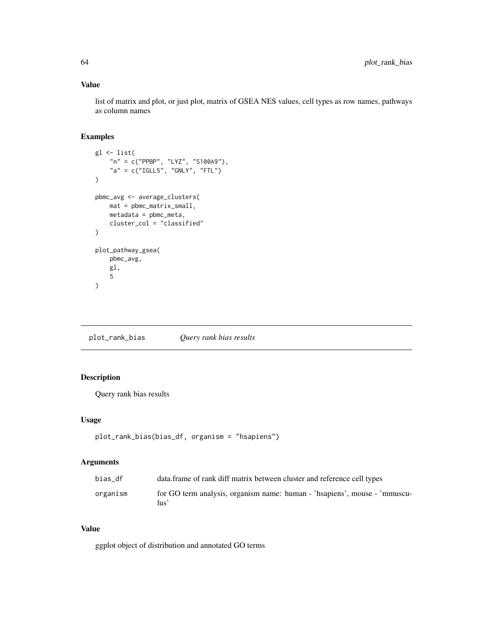# Value

list of matrix and plot, or just plot, matrix of GSEA NES values, cell types as row names, pathways as column names

# Examples

```
gl <- list(
    "n" = c("PPBP", "LYZ", "S100A9"),
    "a" = c("IGLL5", "GNLY", "FTL")
)
pbmc_avg <- average_clusters(
    mat = pbmc_matrix_small,
    metadata = pbmc_meta,
    cluster_col = "classified"
\lambdaplot_pathway_gsea(
    pbmc_avg,
    gl,
    5
\mathcal{L}
```
plot\_rank\_bias *Query rank bias results*

# Description

Query rank bias results

## Usage

```
plot_rank_bias(bias_df, organism = "hsapiens")
```
#### Arguments

| bias df  | data. frame of rank diff matrix between cluster and reference cell types          |
|----------|-----------------------------------------------------------------------------------|
| organism | for GO term analysis, organism name: human - 'hsapiens', mouse - 'mmuscu-<br>lus' |

# Value

ggplot object of distribution and annotated GO terms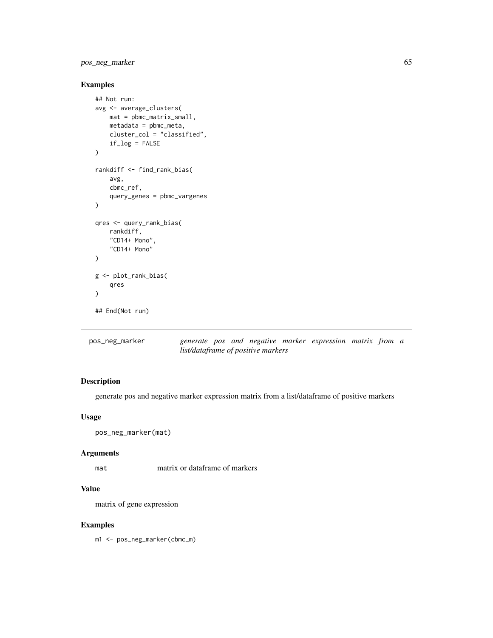# pos\_neg\_marker 65

# Examples

```
## Not run:
avg <- average_clusters(
   mat = pbmc_matrix_small,
   metadata = pbmc_meta,
    cluster_col = "classified",
    if_log = FALSE
)
rankdiff <- find_rank_bias(
    avg,
    cbmc_ref,
    query_genes = pbmc_vargenes
\mathcal{L}qres <- query_rank_bias(
    rankdiff,
    "CD14+ Mono",
    "CD14+ Mono"
\mathcal{L}g <- plot_rank_bias(
    qres
)
## End(Not run)
```

| pos_neg_marker |                                    |  |  | generate pos and negative marker expression matrix from a |  |  |
|----------------|------------------------------------|--|--|-----------------------------------------------------------|--|--|
|                | list/dataframe of positive markers |  |  |                                                           |  |  |

# Description

generate pos and negative marker expression matrix from a list/dataframe of positive markers

## Usage

```
pos_neg_marker(mat)
```
#### Arguments

matrix or dataframe of markers

#### Value

matrix of gene expression

#### Examples

m1 <- pos\_neg\_marker(cbmc\_m)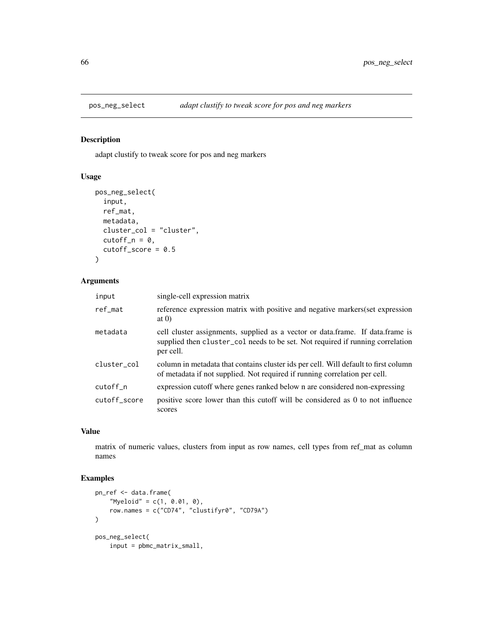adapt clustify to tweak score for pos and neg markers

# Usage

```
pos_neg_select(
  input,
  ref_mat,
  metadata,
  cluster_col = "cluster",
  cutoff_n = 0,
  cutoff\_score = 0.5\lambda
```
# Arguments

| input        | single-cell expression matrix                                                                                                                                                 |
|--------------|-------------------------------------------------------------------------------------------------------------------------------------------------------------------------------|
| ref_mat      | reference expression matrix with positive and negative markers(set expression<br>at $(0)$                                                                                     |
| metadata     | cell cluster assignments, supplied as a vector or data.frame. If data.frame is<br>supplied then cluster_col needs to be set. Not required if running correlation<br>per cell. |
| cluster_col  | column in metadata that contains cluster ids per cell. Will default to first column<br>of metadata if not supplied. Not required if running correlation per cell.             |
| cutoff_n     | expression cutoff where genes ranked below n are considered non-expressing                                                                                                    |
| cutoff score | positive score lower than this cutoff will be considered as 0 to not influence<br>scores                                                                                      |

# Value

matrix of numeric values, clusters from input as row names, cell types from ref\_mat as column names

```
pn_ref <- data.frame(
    "Myeloid" = c(1, 0.01, 0),
   row.names = c("CD74", "clustifyr0", "CD79A")
)
pos_neg_select(
   input = pbmc_matrix_small,
```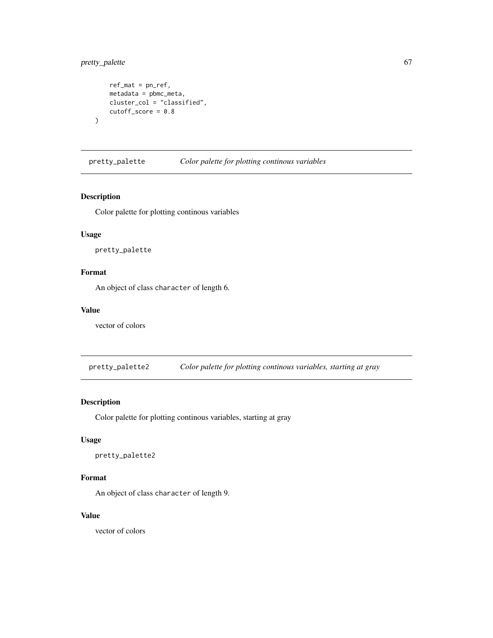# pretty\_palette 67

)

```
ref_mat = pn_ref,
metadata = pbmc_meta,
cluster_col = "classified",
cutoff\_score = 0.8
```
<span id="page-66-0"></span>pretty\_palette *Color palette for plotting continous variables*

# Description

Color palette for plotting continous variables

# Usage

pretty\_palette

# Format

An object of class character of length 6.

## Value

vector of colors

pretty\_palette2 *Color palette for plotting continous variables, starting at gray*

# Description

Color palette for plotting continous variables, starting at gray

#### Usage

```
pretty_palette2
```
# Format

An object of class character of length 9.

# Value

vector of colors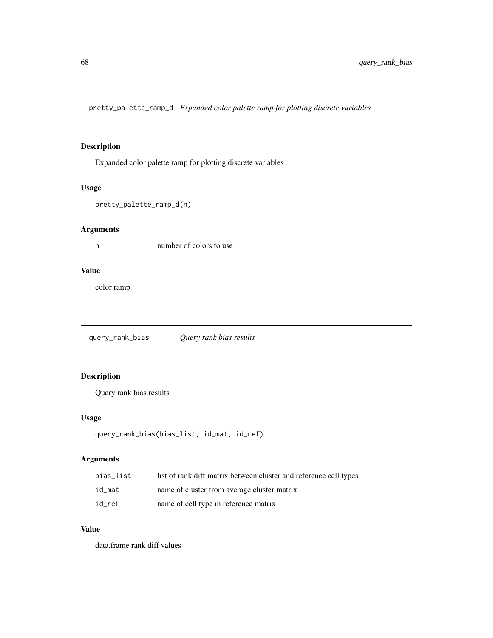pretty\_palette\_ramp\_d *Expanded color palette ramp for plotting discrete variables*

# Description

Expanded color palette ramp for plotting discrete variables

#### Usage

```
pretty_palette_ramp_d(n)
```
## Arguments

n number of colors to use

# Value

color ramp

query\_rank\_bias *Query rank bias results*

# Description

Query rank bias results

# Usage

```
query_rank_bias(bias_list, id_mat, id_ref)
```
# Arguments

| bias list | list of rank diff matrix between cluster and reference cell types |
|-----------|-------------------------------------------------------------------|
| id_mat    | name of cluster from average cluster matrix                       |
| id ref    | name of cell type in reference matrix                             |

# Value

data.frame rank diff values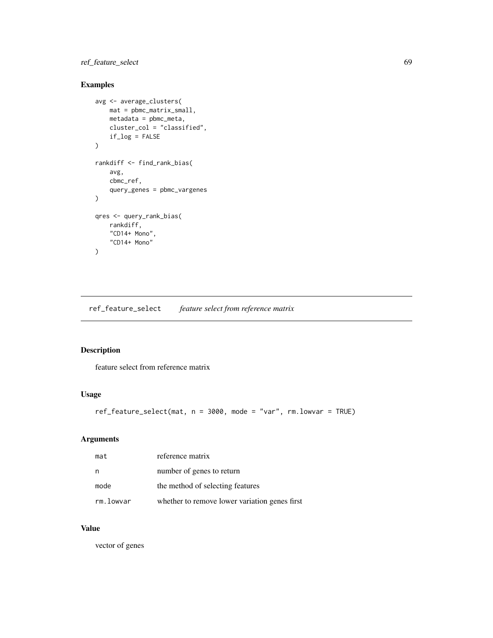# ref\_feature\_select 69

# Examples

```
avg <- average_clusters(
    mat = pbmc_matrix_small,
    metadata = pbmc_meta,
    cluster_col = "classified",
    if_log = FALSE
\mathcal{L}rankdiff <- find_rank_bias(
    avg,
    cbmc_ref,
    query_genes = pbmc_vargenes
\mathcal{L}qres <- query_rank_bias(
    rankdiff,
    "CD14+ Mono",
    "CD14+ Mono"
)
```
ref\_feature\_select *feature select from reference matrix*

# Description

feature select from reference matrix

# Usage

```
ref_feature_select(mat, n = 3000, mode = "var", rm.lowvar = TRUE)
```
# Arguments

| mat       | reference matrix                               |
|-----------|------------------------------------------------|
| n         | number of genes to return                      |
| mode      | the method of selecting features               |
| rm.lowvar | whether to remove lower variation genes first. |

# Value

vector of genes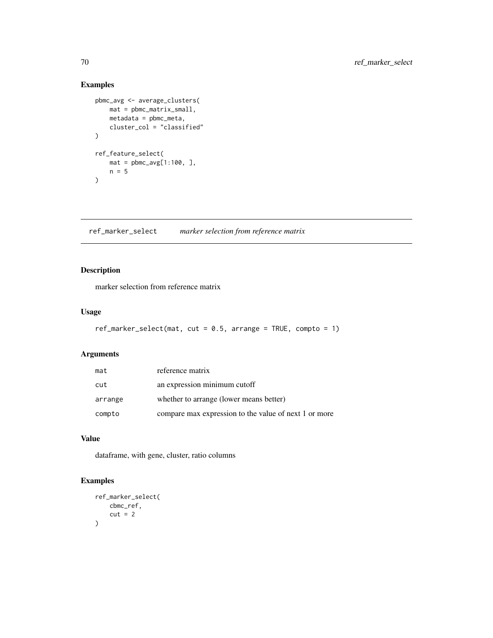# Examples

```
pbmc_avg <- average_clusters(
   mat = pbmc_matrix_small,
   metadata = pbmc_meta,
   cluster_col = "classified"
)
ref_feature_select(
   mat = pbmc_avg[1:100, ]n = 5)
```
ref\_marker\_select *marker selection from reference matrix*

# Description

marker selection from reference matrix

## Usage

```
ref_marker_select(mat, cut = 0.5, arrange = TRUE, compto = 1)
```
# Arguments

| mat     | reference matrix                                      |
|---------|-------------------------------------------------------|
| cut     | an expression minimum cutoff                          |
| arrange | whether to arrange (lower means better)               |
| compto  | compare max expression to the value of next 1 or more |

# Value

dataframe, with gene, cluster, ratio columns

```
ref_marker_select(
    cbmc_ref,
    cut = 2\mathcal{L}
```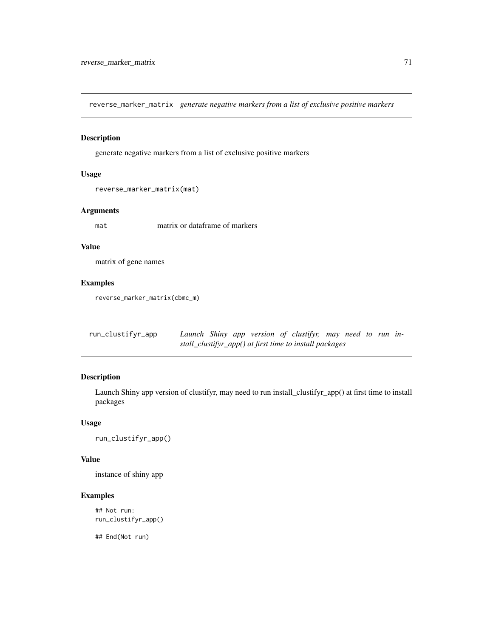reverse\_marker\_matrix *generate negative markers from a list of exclusive positive markers*

## Description

generate negative markers from a list of exclusive positive markers

#### Usage

```
reverse_marker_matrix(mat)
```
#### Arguments

matrix or dataframe of markers

#### Value

matrix of gene names

# Examples

reverse\_marker\_matrix(cbmc\_m)

run\_clustifyr\_app *Launch Shiny app version of clustifyr, may need to run install\_clustifyr\_app() at first time to install packages*

# Description

Launch Shiny app version of clustifyr, may need to run install\_clustifyr\_app() at first time to install packages

#### Usage

run\_clustifyr\_app()

#### Value

instance of shiny app

# Examples

## Not run: run\_clustifyr\_app()

## End(Not run)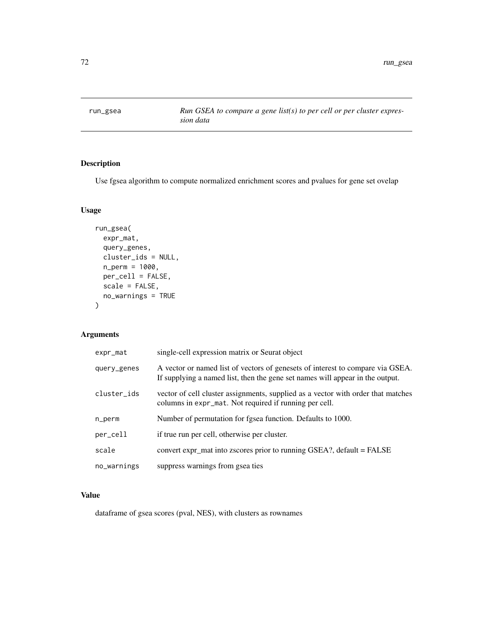run\_gsea *Run GSEA to compare a gene list(s) to per cell or per cluster expression data*

# Description

Use fgsea algorithm to compute normalized enrichment scores and pvalues for gene set ovelap

# Usage

```
run_gsea(
 expr_mat,
 query_genes,
 cluster_ids = NULL,
 n_perm = 1000,
 per_cell = FALSE,
 scale = FALSE,
 no_warnings = TRUE
)
```
# Arguments

| expr_mat    | single-cell expression matrix or Seurat object                                                                                                                  |
|-------------|-----------------------------------------------------------------------------------------------------------------------------------------------------------------|
| query_genes | A vector or named list of vectors of genesets of interest to compare via GSEA.<br>If supplying a named list, then the gene set names will appear in the output. |
| cluster_ids | vector of cell cluster assignments, supplied as a vector with order that matches<br>columns in expr_mat. Not required if running per cell.                      |
| n_perm      | Number of permutation for fgsea function. Defaults to 1000.                                                                                                     |
| per_cell    | if true run per cell, otherwise per cluster.                                                                                                                    |
| scale       | convert expr_mat into zscores prior to running GSEA?, default = FALSE                                                                                           |
| no_warnings | suppress warnings from gsea ties                                                                                                                                |

#### Value

dataframe of gsea scores (pval, NES), with clusters as rownames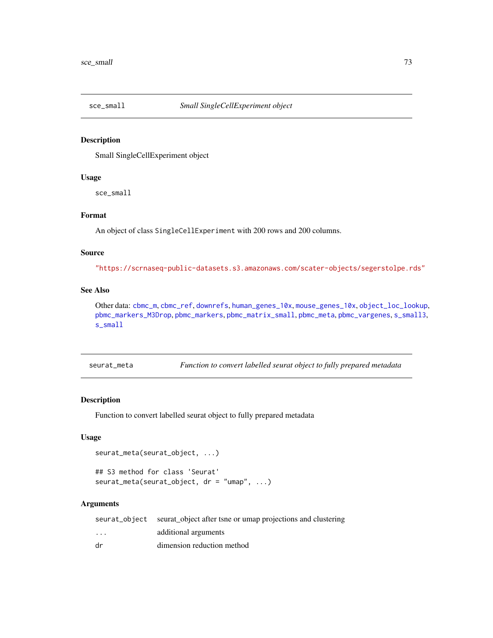<span id="page-72-1"></span><span id="page-72-0"></span>sce\_small

## **Description**

Small SingleCellExperiment object

# **Usage**

sce\_small

#### Format

An object of class SingleCellExperiment with 200 rows and 200 columns.

#### **Source**

"https://scrnaseq-public-datasets.s3.amazonaws.com/scater-objects/segerstolpe.rds"

# **See Also**

Other data: cbmc\_m, cbmc\_ref, downrefs, human\_genes\_10x, mouse\_genes\_10x, object\_loc\_lookup, pbmc\_markers\_M3Drop,pbmc\_markers,pbmc\_matrix\_small,pbmc\_meta,pbmc\_vargenes,s\_small3, s\_small

Function to convert labelled seurat object to fully prepared metadata seurat\_meta

## **Description**

Function to convert labelled seurat object to fully prepared metadata

#### **Usage**

```
seurat_meta(seurat_object, ...)
## S3 method for class 'Seurat'
seurat_meta(seurat_object, dr = "umap", ...)
```
#### **Arguments**

|          | seurat_object seurat_object after tsne or umap projections and clustering |
|----------|---------------------------------------------------------------------------|
| $\cdots$ | additional arguments                                                      |
| dr       | dimension reduction method                                                |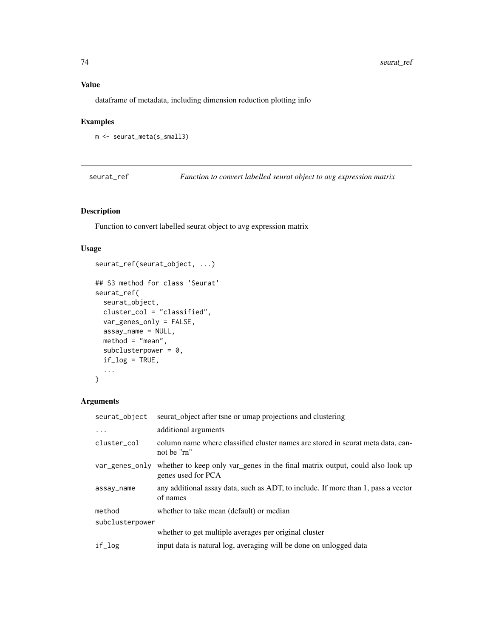## <span id="page-73-0"></span>**Value**

dataframe of metadata, including dimension reduction plotting info

## **Examples**

```
m <- seurat_meta(s_small3)
```
seurat\_ref

Function to convert labelled seurat object to avg expression matrix

# Description

Function to convert labelled seurat object to avg expression matrix

## **Usage**

```
seurat_ref(seurat_object, ...)
## S3 method for class 'Seurat'
seurat_ref(
  seurat_object,
 cluster_col = "classified",
 var_genes_only = FALSE,
  assay_name = NULL,method = "mean",subclusterpower = 0,
  if\_log = TRUE,\ddots\big)
```
#### **Arguments**

| seurat_object after tsne or umap projections and clustering                                         |  |  |
|-----------------------------------------------------------------------------------------------------|--|--|
| additional arguments                                                                                |  |  |
| column name where classified cluster names are stored in seurat meta data, can-<br>not be "rn"      |  |  |
| whether to keep only var_genes in the final matrix output, could also look up<br>genes used for PCA |  |  |
| any additional assay data, such as ADT, to include. If more than 1, pass a vector<br>of names       |  |  |
| whether to take mean (default) or median                                                            |  |  |
| subclusterpower                                                                                     |  |  |
| whether to get multiple averages per original cluster                                               |  |  |
| input data is natural log, averaging will be done on unlogged data                                  |  |  |
|                                                                                                     |  |  |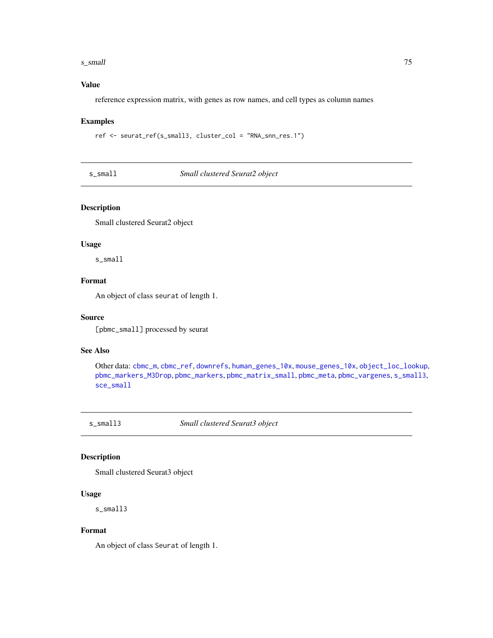#### <span id="page-74-2"></span>s\_small 75

## Value

reference expression matrix, with genes as row names, and cell types as column names

#### Examples

ref <- seurat\_ref(s\_small3, cluster\_col = "RNA\_snn\_res.1")

<span id="page-74-1"></span>s\_small *Small clustered Seurat2 object*

## Description

Small clustered Seurat2 object

## Usage

s\_small

## Format

An object of class seurat of length 1.

#### Source

[pbmc\_small] processed by seurat

#### See Also

Other data: [cbmc\\_m](#page-13-0), [cbmc\\_ref](#page-14-0), [downrefs](#page-30-0), [human\\_genes\\_10x](#page-40-0), [mouse\\_genes\\_10x](#page-45-0), [object\\_loc\\_lookup](#page-47-0), [pbmc\\_markers\\_M3Drop](#page-52-0), [pbmc\\_markers](#page-52-1), [pbmc\\_matrix\\_small](#page-53-0), [pbmc\\_meta](#page-53-1), [pbmc\\_vargenes](#page-54-0), [s\\_small3](#page-74-0), [sce\\_small](#page-72-0)

<span id="page-74-0"></span>s\_small3 *Small clustered Seurat3 object*

# Description

Small clustered Seurat3 object

## Usage

s\_small3

## Format

An object of class Seurat of length 1.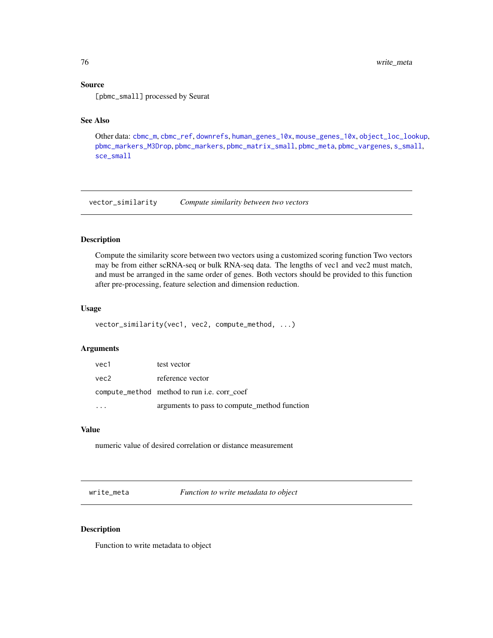## <span id="page-75-0"></span>Source

[pbmc\_small] processed by Seurat

## See Also

Other data: [cbmc\\_m](#page-13-0), [cbmc\\_ref](#page-14-0), [downrefs](#page-30-0), [human\\_genes\\_10x](#page-40-0), [mouse\\_genes\\_10x](#page-45-0), [object\\_loc\\_lookup](#page-47-0), [pbmc\\_markers\\_M3Drop](#page-52-0), [pbmc\\_markers](#page-52-1), [pbmc\\_matrix\\_small](#page-53-0), [pbmc\\_meta](#page-53-1), [pbmc\\_vargenes](#page-54-0), [s\\_small](#page-74-1), [sce\\_small](#page-72-0)

vector\_similarity *Compute similarity between two vectors*

## Description

Compute the similarity score between two vectors using a customized scoring function Two vectors may be from either scRNA-seq or bulk RNA-seq data. The lengths of vec1 and vec2 must match, and must be arranged in the same order of genes. Both vectors should be provided to this function after pre-processing, feature selection and dimension reduction.

### Usage

```
vector_similarity(vec1, vec2, compute_method, ...)
```
#### Arguments

| vec1 | test vector                                  |
|------|----------------------------------------------|
| vec2 | reference vector                             |
|      | compute_method method to run i.e. corr coef  |
|      | arguments to pass to compute_method function |

## Value

numeric value of desired correlation or distance measurement

write\_meta *Function to write metadata to object*

#### Description

Function to write metadata to object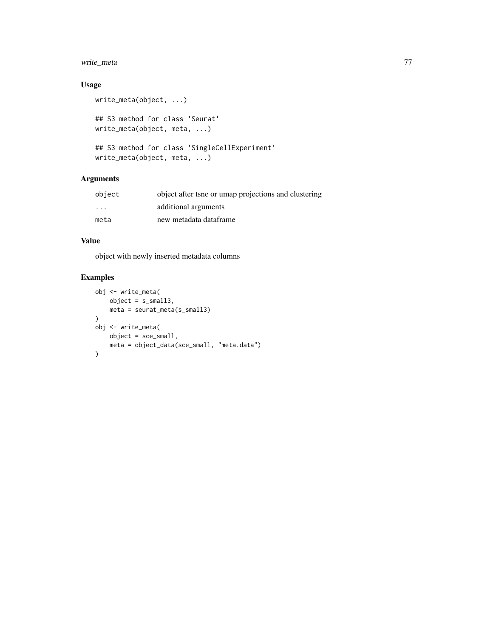# write\_meta 77

## Usage

```
write_meta(object, ...)
## S3 method for class 'Seurat'
write_meta(object, meta, ...)
## S3 method for class 'SingleCellExperiment'
write_meta(object, meta, ...)
```
## Arguments

| object                  | object after tsne or umap projections and clustering |
|-------------------------|------------------------------------------------------|
| $\cdot$ $\cdot$ $\cdot$ | additional arguments                                 |
| meta                    | new metadata dataframe                               |

## Value

object with newly inserted metadata columns

# Examples

```
obj <- write_meta(
    object = s_small3,
    meta = seurat_meta(s_small3)
\mathcal{L}obj <- write_meta(
    object = sce_small,
    meta = object_data(sce_small, "meta.data")
\mathcal{L}
```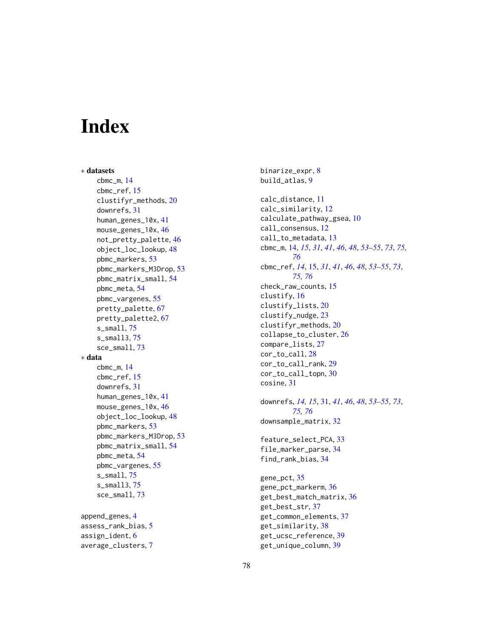# **Index**

∗ datasets cbmc\_m , [14](#page-13-1) cbmc\_ref , [15](#page-14-1) clustifyr\_methods , [20](#page-19-0) downrefs , [31](#page-30-1) human\_genes\_10x , [41](#page-40-1) mouse\_genes\_10x,[46](#page-45-1) not\_pretty\_palette , [46](#page-45-1) object\_loc\_lookup , [48](#page-47-1) pbmc\_markers , [53](#page-52-2) pbmc\_markers\_M3Drop, [53](#page-52-2) pbmc\_matrix\_small , [54](#page-53-2) pbmc\_meta , [54](#page-53-2) pbmc\_vargenes , [55](#page-54-1) pretty\_palette , [67](#page-66-0) pretty\_palette2 , [67](#page-66-0) s\_small , [75](#page-74-2) s\_small3 , [75](#page-74-2) sce\_small , [73](#page-72-1) ∗ data cbmc\_m , [14](#page-13-1) cbmc\_ref , [15](#page-14-1) downrefs, [31](#page-30-1) human\_genes\_10x , [41](#page-40-1) mouse\_genes\_10x,[46](#page-45-1) object\_loc\_lookup , [48](#page-47-1) pbmc\_markers , [53](#page-52-2) pbmc\_markers\_M3Drop, [53](#page-52-2) pbmc\_matrix\_small , [54](#page-53-2) pbmc\_meta , [54](#page-53-2) pbmc\_vargenes , [55](#page-54-1) s\_small , [75](#page-74-2) s\_small3 , [75](#page-74-2) sce\_small , [73](#page-72-1) append\_genes , [4](#page-3-0)

assess\_rank\_bias , [5](#page-4-0) assign\_ident, [6](#page-5-0) average\_clusters , [7](#page-6-0) binarize\_expr , [8](#page-7-0) build\_atlas , [9](#page-8-0) calc\_distance , [11](#page-10-0) calc\_similarity , [12](#page-11-0) calculate\_pathway\_gsea , [10](#page-9-0) call\_consensus , [12](#page-11-0) call\_to\_metadata , [13](#page-12-0) cbmc\_m , [14](#page-13-1) , *[15](#page-14-1)* , *[31](#page-30-1)* , *[41](#page-40-1)* , *[46](#page-45-1)* , *[48](#page-47-1)* , *[53](#page-52-2) [–55](#page-54-1)* , *[73](#page-72-1)* , *[75](#page-74-2) , [76](#page-75-0)* cbmc\_ref , *[14](#page-13-1)* , [15](#page-14-1) , *[31](#page-30-1)* , *[41](#page-40-1)* , *[46](#page-45-1)* , *[48](#page-47-1)* , *[53](#page-52-2) [–55](#page-54-1)* , *[73](#page-72-1)* , *[75](#page-74-2) , [76](#page-75-0)* check\_raw\_counts , [15](#page-14-1) clustify , [16](#page-15-0) clustify\_lists , [20](#page-19-0) clustify\_nudge , [23](#page-22-0) clustifyr\_methods , [20](#page-19-0) collapse\_to\_cluster , [26](#page-25-0) compare\_lists , [27](#page-26-0) cor\_to\_call , [28](#page-27-0) cor\_to\_call\_rank , [29](#page-28-0) cor\_to\_call\_topn , [30](#page-29-0) cosine , [31](#page-30-1) downrefs , *[14](#page-13-1) , [15](#page-14-1)* , [31](#page-30-1) , *[41](#page-40-1)* , *[46](#page-45-1)* , *[48](#page-47-1)* , *[53](#page-52-2) [–55](#page-54-1)* , *[73](#page-72-1)* , *[75](#page-74-2) , [76](#page-75-0)* downsample\_matrix , [32](#page-31-0) feature\_select\_PCA , [33](#page-32-0) file\_marker\_parse , [34](#page-33-0) find\_rank\_bias , [34](#page-33-0) gene\_pct , [35](#page-34-0) gene\_pct\_markerm , [36](#page-35-0) get\_best\_match\_matrix , [36](#page-35-0) get\_best\_str , [37](#page-36-0)

get\_common\_elements , [37](#page-36-0) get\_similarity , [38](#page-37-0) get\_ucsc\_reference , [39](#page-38-0) get\_unique\_column , [39](#page-38-0)